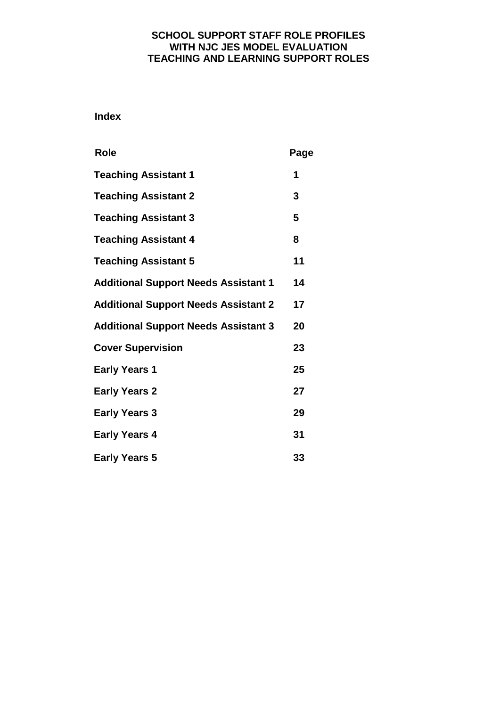# **SCHOOL SUPPORT STAFF ROLE PROFILES WITH NJC JES MODEL EVALUATION TEACHING AND LEARNING SUPPORT ROLES**

 **Index**

| <b>Role</b>                                 | Page |
|---------------------------------------------|------|
| <b>Teaching Assistant 1</b>                 | 1    |
| <b>Teaching Assistant 2</b>                 | 3    |
| <b>Teaching Assistant 3</b>                 | 5    |
| <b>Teaching Assistant 4</b>                 | 8    |
| <b>Teaching Assistant 5</b>                 | 11   |
| <b>Additional Support Needs Assistant 1</b> | 14   |
| <b>Additional Support Needs Assistant 2</b> | 17   |
| <b>Additional Support Needs Assistant 3</b> | 20   |
| <b>Cover Supervision</b>                    | 23   |
| <b>Early Years 1</b>                        | 25   |
| <b>Early Years 2</b>                        | 27   |
| <b>Early Years 3</b>                        | 29   |
| <b>Early Years 4</b>                        | 31   |
| <b>Early Years 5</b>                        | 33   |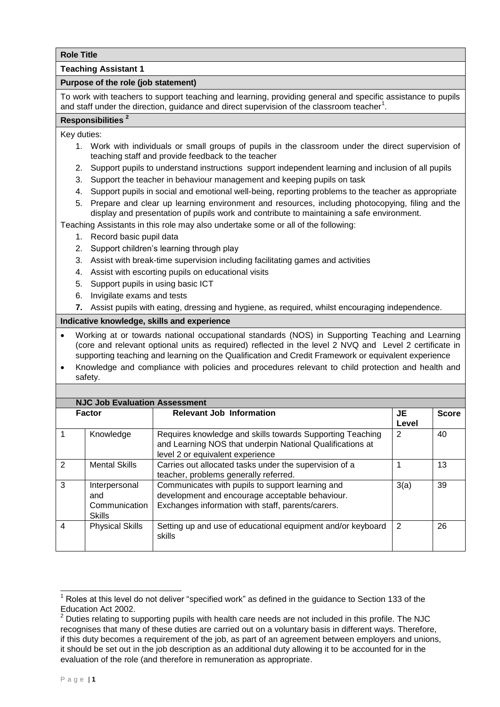**Teaching Assistant 1**

## **Purpose of the role (job statement)**

To work with teachers to support teaching and learning, providing general and specific assistance to pupils and staff under the direction, guidance and direct supervision of the classroom teacher<sup>1</sup>.

## **Responsibilities <sup>2</sup>**

Key duties:

- 1. Work with individuals or small groups of pupils in the classroom under the direct supervision of teaching staff and provide feedback to the teacher
- 2. Support pupils to understand instructions support independent learning and inclusion of all pupils
- 3. Support the teacher in behaviour management and keeping pupils on task
- 4. Support pupils in social and emotional well-being, reporting problems to the teacher as appropriate
- 5. Prepare and clear up learning environment and resources, including photocopying, filing and the display and presentation of pupils work and contribute to maintaining a safe environment.

Teaching Assistants in this role may also undertake some or all of the following:

- 1. Record basic pupil data
- 2. Support children's learning through play
- 3. Assist with break-time supervision including facilitating games and activities
- 4. Assist with escorting pupils on educational visits
- 5. Support pupils in using basic ICT
- 6. Invigilate exams and tests
- **7.** Assist pupils with eating, dressing and hygiene, as required, whilst encouraging independence.

- Working at or towards national occupational standards (NOS) in Supporting Teaching and Learning (core and relevant optional units as required) reflected in the level 2 NVQ and Level 2 certificate in supporting teaching and learning on the Qualification and Credit Framework or equivalent experience
- Knowledge and compliance with policies and procedures relevant to child protection and health and safety.

|                | <b>NJC Job Evaluation Assessment</b>                   |                                                                                                                                                            |       |              |  |
|----------------|--------------------------------------------------------|------------------------------------------------------------------------------------------------------------------------------------------------------------|-------|--------------|--|
|                | <b>Factor</b>                                          | <b>Relevant Job Information</b>                                                                                                                            | JE    | <b>Score</b> |  |
|                |                                                        |                                                                                                                                                            | Level |              |  |
|                | Knowledge                                              | Requires knowledge and skills towards Supporting Teaching<br>and Learning NOS that underpin National Qualifications at<br>level 2 or equivalent experience | 2     | 40           |  |
| $\overline{2}$ | <b>Mental Skills</b>                                   | Carries out allocated tasks under the supervision of a<br>teacher, problems generally referred.                                                            |       | 13           |  |
| 3              | Interpersonal<br>and<br>Communication<br><b>Skills</b> | Communicates with pupils to support learning and<br>development and encourage acceptable behaviour.<br>Exchanges information with staff, parents/carers.   | 3(a)  | 39           |  |
| $\overline{4}$ | <b>Physical Skills</b>                                 | Setting up and use of educational equipment and/or keyboard<br>skills                                                                                      | 2     | 26           |  |

<sup>-</sup>Roles at this level do not deliver "specified work" as defined in the guidance to Section 133 of the Education Act 2002.

 $2$  Duties relating to supporting pupils with health care needs are not included in this profile. The NJC recognises that many of these duties are carried out on a voluntary basis in different ways. Therefore, if this duty becomes a requirement of the job, as part of an agreement between employers and unions, it should be set out in the job description as an additional duty allowing it to be accounted for in the evaluation of the role (and therefore in remuneration as appropriate.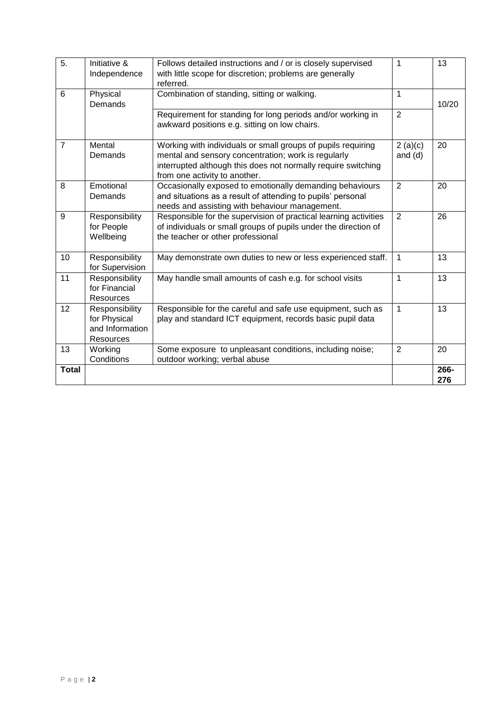| 5.             | Initiative &<br>Independence                                   | Follows detailed instructions and / or is closely supervised<br>with little scope for discretion; problems are generally<br>referred.                                                                                 | 1                    | 13          |
|----------------|----------------------------------------------------------------|-----------------------------------------------------------------------------------------------------------------------------------------------------------------------------------------------------------------------|----------------------|-------------|
| 6              | Physical<br>Demands                                            | Combination of standing, sitting or walking.                                                                                                                                                                          | 1                    | 10/20       |
|                |                                                                | Requirement for standing for long periods and/or working in<br>awkward positions e.g. sitting on low chairs.                                                                                                          | $\overline{2}$       |             |
| $\overline{7}$ | Mental<br>Demands                                              | Working with individuals or small groups of pupils requiring<br>mental and sensory concentration; work is regularly<br>interrupted although this does not normally require switching<br>from one activity to another. | 2(a)(c)<br>and $(d)$ | 20          |
| 8              | Emotional<br>Demands                                           | Occasionally exposed to emotionally demanding behaviours<br>and situations as a result of attending to pupils' personal<br>needs and assisting with behaviour management.                                             | $\overline{2}$       | 20          |
| 9              | Responsibility<br>for People<br>Wellbeing                      | Responsible for the supervision of practical learning activities<br>of individuals or small groups of pupils under the direction of<br>the teacher or other professional                                              | 2                    | 26          |
| 10             | Responsibility<br>for Supervision                              | May demonstrate own duties to new or less experienced staff.                                                                                                                                                          | 1                    | 13          |
| 11             | Responsibility<br>for Financial<br>Resources                   | May handle small amounts of cash e.g. for school visits                                                                                                                                                               | 1                    | 13          |
| 12             | Responsibility<br>for Physical<br>and Information<br>Resources | Responsible for the careful and safe use equipment, such as<br>play and standard ICT equipment, records basic pupil data                                                                                              | 1                    | 13          |
| 13             | Working<br>Conditions                                          | Some exposure to unpleasant conditions, including noise;<br>outdoor working; verbal abuse                                                                                                                             | 2                    | 20          |
| <b>Total</b>   |                                                                |                                                                                                                                                                                                                       |                      | 266-<br>276 |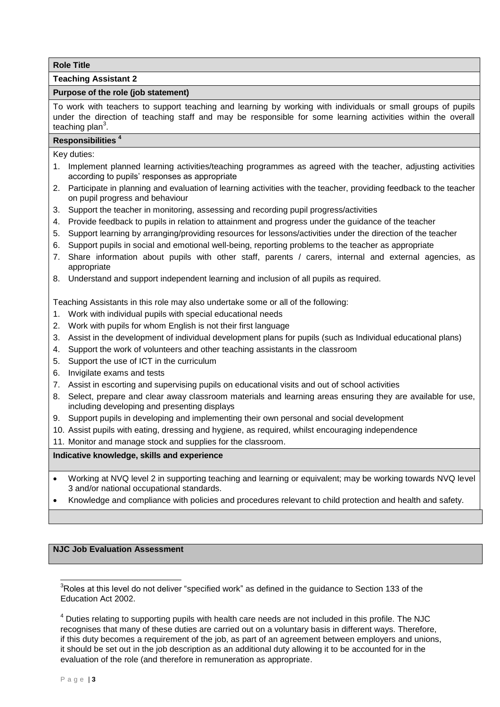## **Teaching Assistant 2**

### **Purpose of the role (job statement)**

To work with teachers to support teaching and learning by working with individuals or small groups of pupils under the direction of teaching staff and may be responsible for some learning activities within the overall teaching plan<sup>3</sup>.

### **Responsibilities <sup>4</sup>**

Key duties:

- 1. Implement planned learning activities/teaching programmes as agreed with the teacher, adjusting activities according to pupils' responses as appropriate
- 2. Participate in planning and evaluation of learning activities with the teacher, providing feedback to the teacher on pupil progress and behaviour
- 3. Support the teacher in monitoring, assessing and recording pupil progress/activities
- 4. Provide feedback to pupils in relation to attainment and progress under the guidance of the teacher
- 5. Support learning by arranging/providing resources for lessons/activities under the direction of the teacher
- 6. Support pupils in social and emotional well-being, reporting problems to the teacher as appropriate
- 7. Share information about pupils with other staff, parents / carers, internal and external agencies, as appropriate
- 8. Understand and support independent learning and inclusion of all pupils as required.

Teaching Assistants in this role may also undertake some or all of the following:

- 1. Work with individual pupils with special educational needs
- 2. Work with pupils for whom English is not their first language
- 3. Assist in the development of individual development plans for pupils (such as Individual educational plans)
- 4. Support the work of volunteers and other teaching assistants in the classroom
- 5. Support the use of ICT in the curriculum
- 6. Invigilate exams and tests
- 7. Assist in escorting and supervising pupils on educational visits and out of school activities
- 8. Select, prepare and clear away classroom materials and learning areas ensuring they are available for use, including developing and presenting displays
- 9. Support pupils in developing and implementing their own personal and social development
- 10. Assist pupils with eating, dressing and hygiene, as required, whilst encouraging independence
- 11. Monitor and manage stock and supplies for the classroom.

**Indicative knowledge, skills and experience** 

- Working at NVQ level 2 in supporting teaching and learning or equivalent; may be working towards NVQ level 3 and/or national occupational standards.
- Knowledge and compliance with policies and procedures relevant to child protection and health and safety.

## **NJC Job Evaluation Assessment**

 $3$ Roles at this level do not deliver "specified work" as defined in the guidance to Section 133 of the Education Act 2002.

<sup>4</sup> Duties relating to supporting pupils with health care needs are not included in this profile. The NJC recognises that many of these duties are carried out on a voluntary basis in different ways. Therefore, if this duty becomes a requirement of the job, as part of an agreement between employers and unions, it should be set out in the job description as an additional duty allowing it to be accounted for in the evaluation of the role (and therefore in remuneration as appropriate.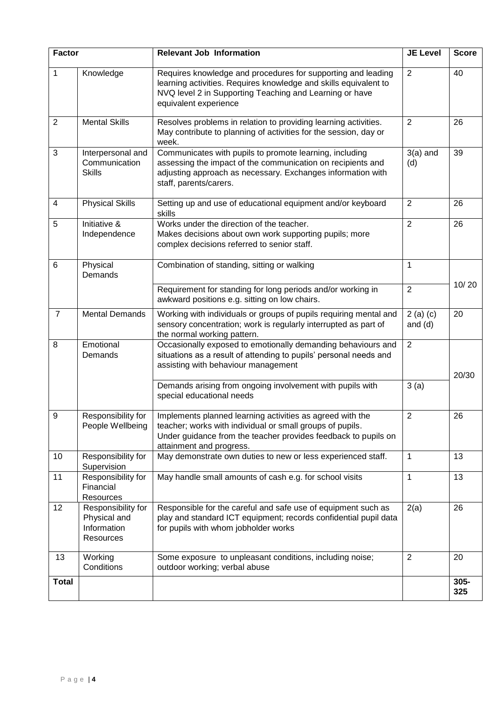| <b>Factor</b>  |                                                                | <b>Relevant Job Information</b>                                                                                                                                                                                      | <b>JE Level</b>         | <b>Score</b> |
|----------------|----------------------------------------------------------------|----------------------------------------------------------------------------------------------------------------------------------------------------------------------------------------------------------------------|-------------------------|--------------|
| 1              | Knowledge                                                      | Requires knowledge and procedures for supporting and leading<br>learning activities. Requires knowledge and skills equivalent to<br>NVQ level 2 in Supporting Teaching and Learning or have<br>equivalent experience | $\overline{2}$          | 40           |
| $\overline{2}$ | <b>Mental Skills</b>                                           | Resolves problems in relation to providing learning activities.<br>May contribute to planning of activities for the session, day or<br>week.                                                                         | $\overline{2}$          | 26           |
| 3              | Interpersonal and<br>Communication<br><b>Skills</b>            | Communicates with pupils to promote learning, including<br>assessing the impact of the communication on recipients and<br>adjusting approach as necessary. Exchanges information with<br>staff, parents/carers.      | $3(a)$ and<br>(d)       | 39           |
| 4              | <b>Physical Skills</b>                                         | Setting up and use of educational equipment and/or keyboard<br>skills                                                                                                                                                | $\overline{2}$          | 26           |
| 5              | Initiative &<br>Independence                                   | Works under the direction of the teacher.<br>Makes decisions about own work supporting pupils; more<br>complex decisions referred to senior staff.                                                                   | $\overline{2}$          | 26           |
| 6              | Physical<br>Demands                                            | Combination of standing, sitting or walking                                                                                                                                                                          | $\mathbf{1}$            |              |
|                |                                                                | Requirement for standing for long periods and/or working in<br>awkward positions e.g. sitting on low chairs.                                                                                                         | $\overline{2}$          | 10/20        |
| $\overline{7}$ | <b>Mental Demands</b>                                          | Working with individuals or groups of pupils requiring mental and<br>sensory concentration; work is regularly interrupted as part of<br>the normal working pattern.                                                  | $2(a)$ (c)<br>and $(d)$ | 20           |
| 8              | Emotional<br>Demands                                           | Occasionally exposed to emotionally demanding behaviours and<br>situations as a result of attending to pupils' personal needs and<br>assisting with behaviour management                                             | $\overline{2}$          | 20/30        |
|                |                                                                | Demands arising from ongoing involvement with pupils with<br>special educational needs                                                                                                                               | 3(a)                    |              |
| 9              | Responsibility for<br>People Wellbeing                         | Implements planned learning activities as agreed with the<br>teacher; works with individual or small groups of pupils.<br>Under guidance from the teacher provides feedback to pupils on<br>attainment and progress. | $\overline{2}$          | 26           |
| 10             | Responsibility for<br>Supervision                              | May demonstrate own duties to new or less experienced staff.                                                                                                                                                         | $\mathbf{1}$            | 13           |
| 11             | Responsibility for<br>Financial<br>Resources                   | May handle small amounts of cash e.g. for school visits                                                                                                                                                              | $\mathbf{1}$            | 13           |
| 12             | Responsibility for<br>Physical and<br>Information<br>Resources | Responsible for the careful and safe use of equipment such as<br>play and standard ICT equipment; records confidential pupil data<br>for pupils with whom jobholder works                                            | 2(a)                    | 26           |
| 13             | Working<br>Conditions                                          | Some exposure to unpleasant conditions, including noise;<br>outdoor working; verbal abuse                                                                                                                            | $\overline{2}$          | 20           |
| <b>Total</b>   |                                                                |                                                                                                                                                                                                                      |                         | 305-<br>325  |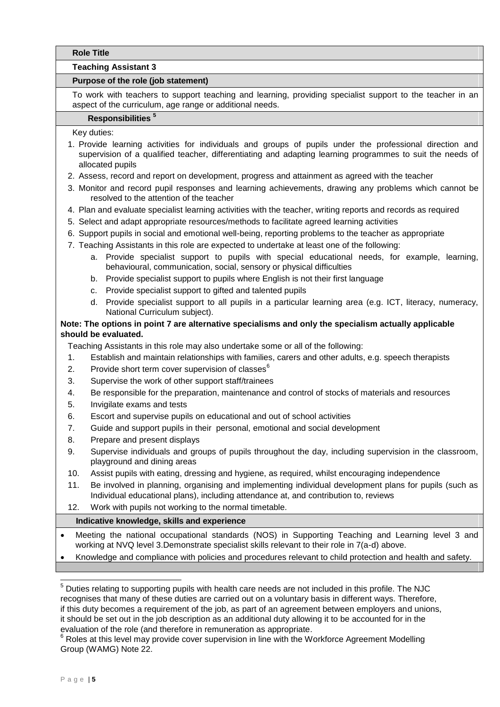#### **Teaching Assistant 3**

## **Purpose of the role (job statement)**

To work with teachers to support teaching and learning, providing specialist support to the teacher in an aspect of the curriculum, age range or additional needs.

# **Responsibilities <sup>5</sup>**

Key duties:

- 1. Provide learning activities for individuals and groups of pupils under the professional direction and supervision of a qualified teacher, differentiating and adapting learning programmes to suit the needs of allocated pupils
- 2. Assess, record and report on development, progress and attainment as agreed with the teacher
- 3. Monitor and record pupil responses and learning achievements, drawing any problems which cannot be resolved to the attention of the teacher
- 4. Plan and evaluate specialist learning activities with the teacher, writing reports and records as required
- 5. Select and adapt appropriate resources/methods to facilitate agreed learning activities
- 6. Support pupils in social and emotional well-being, reporting problems to the teacher as appropriate
- 7. Teaching Assistants in this role are expected to undertake at least one of the following:
	- a. Provide specialist support to pupils with special educational needs, for example, learning, behavioural, communication, social, sensory or physical difficulties
	- b. Provide specialist support to pupils where English is not their first language
	- c. Provide specialist support to gifted and talented pupils
	- d. Provide specialist support to all pupils in a particular learning area (e.g. ICT, literacy, numeracy, National Curriculum subject).

## **Note: The options in point 7 are alternative specialisms and only the specialism actually applicable should be evaluated.**

Teaching Assistants in this role may also undertake some or all of the following:

- 1. Establish and maintain relationships with families, carers and other adults, e.g. speech therapists
- 2. Provide short term cover supervision of classes $<sup>6</sup>$ </sup>
- 3. Supervise the work of other support staff/trainees
- 4. Be responsible for the preparation, maintenance and control of stocks of materials and resources
- 5. Invigilate exams and tests
- 6. Escort and supervise pupils on educational and out of school activities
- 7. Guide and support pupils in their personal, emotional and social development
- 8. Prepare and present displays
- 9. Supervise individuals and groups of pupils throughout the day, including supervision in the classroom, playground and dining areas
- 10. Assist pupils with eating, dressing and hygiene, as required, whilst encouraging independence
- 11. Be involved in planning, organising and implementing individual development plans for pupils (such as Individual educational plans), including attendance at, and contribution to, reviews
- 12. Work with pupils not working to the normal timetable.

- Meeting the national occupational standards (NOS) in Supporting Teaching and Learning level 3 and working at NVQ level 3.Demonstrate specialist skills relevant to their role in 7(a-d) above.
- Knowledge and compliance with policies and procedures relevant to child protection and health and safety.

<sup>1</sup>  $5$  Duties relating to supporting pupils with health care needs are not included in this profile. The NJC recognises that many of these duties are carried out on a voluntary basis in different ways. Therefore, if this duty becomes a requirement of the job, as part of an agreement between employers and unions, it should be set out in the job description as an additional duty allowing it to be accounted for in the evaluation of the role (and therefore in remuneration as appropriate.

 $6$  Roles at this level may provide cover supervision in line with the Workforce Agreement Modelling Group (WAMG) Note 22.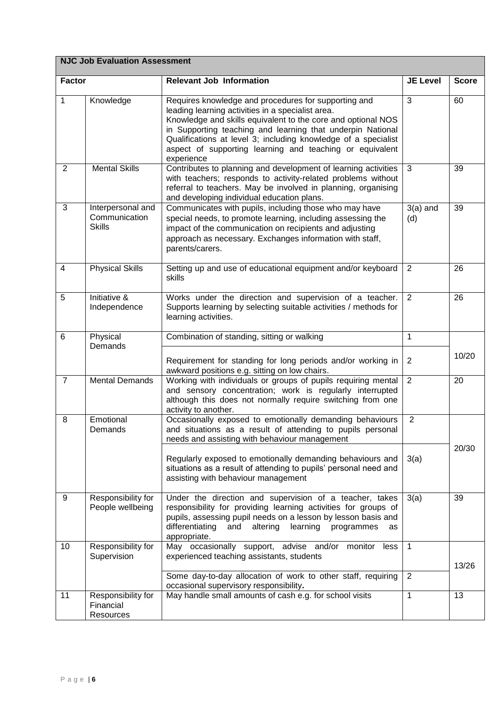|                | <b>NJC Job Evaluation Assessment</b>                |                                                                                                                                                                                                                                                                                                                                                                                     |                   |              |  |  |
|----------------|-----------------------------------------------------|-------------------------------------------------------------------------------------------------------------------------------------------------------------------------------------------------------------------------------------------------------------------------------------------------------------------------------------------------------------------------------------|-------------------|--------------|--|--|
| <b>Factor</b>  |                                                     | <b>Relevant Job Information</b>                                                                                                                                                                                                                                                                                                                                                     | <b>JE Level</b>   | <b>Score</b> |  |  |
| $\mathbf{1}$   | Knowledge                                           | Requires knowledge and procedures for supporting and<br>leading learning activities in a specialist area.<br>Knowledge and skills equivalent to the core and optional NOS<br>in Supporting teaching and learning that underpin National<br>Qualifications at level 3; including knowledge of a specialist<br>aspect of supporting learning and teaching or equivalent<br>experience | 3                 | 60           |  |  |
| 2              | <b>Mental Skills</b>                                | Contributes to planning and development of learning activities<br>with teachers; responds to activity-related problems without<br>referral to teachers. May be involved in planning, organising<br>and developing individual education plans.                                                                                                                                       | 3                 | 39           |  |  |
| 3              | Interpersonal and<br>Communication<br><b>Skills</b> | Communicates with pupils, including those who may have<br>special needs, to promote learning, including assessing the<br>impact of the communication on recipients and adjusting<br>approach as necessary. Exchanges information with staff,<br>parents/carers.                                                                                                                     | $3(a)$ and<br>(d) | 39           |  |  |
| 4              | <b>Physical Skills</b>                              | Setting up and use of educational equipment and/or keyboard<br>skills                                                                                                                                                                                                                                                                                                               | 2                 | 26           |  |  |
| 5              | Initiative &<br>Independence                        | Works under the direction and supervision of a teacher.<br>Supports learning by selecting suitable activities / methods for<br>learning activities.                                                                                                                                                                                                                                 | 2                 | 26           |  |  |
| 6              | Physical<br>Demands                                 | Combination of standing, sitting or walking                                                                                                                                                                                                                                                                                                                                         | $\mathbf{1}$      |              |  |  |
|                |                                                     | Requirement for standing for long periods and/or working in<br>awkward positions e.g. sitting on low chairs.                                                                                                                                                                                                                                                                        | 2                 | 10/20        |  |  |
| $\overline{7}$ | <b>Mental Demands</b>                               | Working with individuals or groups of pupils requiring mental<br>and sensory concentration; work is regularly interrupted<br>although this does not normally require switching from one<br>activity to another.                                                                                                                                                                     | $\overline{2}$    | 20           |  |  |
| 8              | Emotional<br>Demands                                | Occasionally exposed to emotionally demanding behaviours<br>and situations as a result of attending to pupils personal<br>needs and assisting with behaviour management                                                                                                                                                                                                             | $\overline{2}$    |              |  |  |
|                |                                                     | Regularly exposed to emotionally demanding behaviours and<br>situations as a result of attending to pupils' personal need and<br>assisting with behaviour management                                                                                                                                                                                                                | 3(a)              | 20/30        |  |  |
| 9              | Responsibility for<br>People wellbeing              | Under the direction and supervision of a teacher, takes<br>responsibility for providing learning activities for groups of<br>pupils, assessing pupil needs on a lesson by lesson basis and<br>differentiating<br>learning<br>and<br>altering<br>programmes<br>as<br>appropriate.                                                                                                    | 3(a)              | 39           |  |  |
| 10             | Responsibility for<br>Supervision                   | May occasionally support, advise and/or<br>monitor<br>less<br>experienced teaching assistants, students                                                                                                                                                                                                                                                                             | 1                 | 13/26        |  |  |
|                |                                                     | Some day-to-day allocation of work to other staff, requiring<br>occasional supervisory responsibility.                                                                                                                                                                                                                                                                              | $\overline{2}$    |              |  |  |
| 11             | Responsibility for<br>Financial<br>Resources        | May handle small amounts of cash e.g. for school visits                                                                                                                                                                                                                                                                                                                             | $\mathbf{1}$      | 13           |  |  |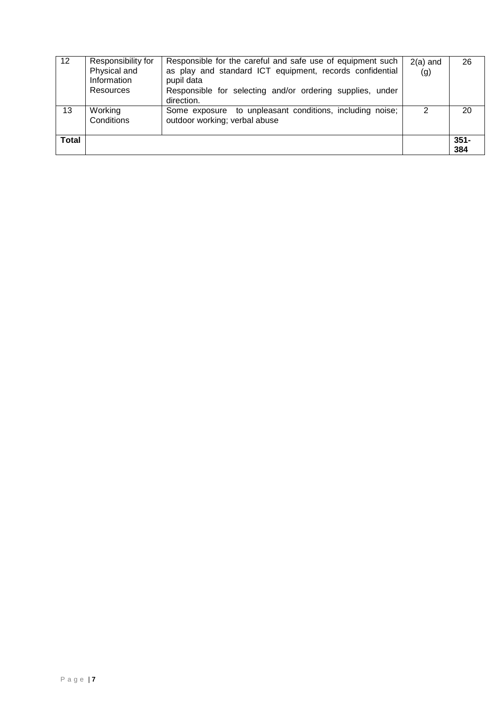| 12           | Responsibility for<br>Physical and<br>Information<br>Resources | Responsible for the careful and safe use of equipment such<br>as play and standard ICT equipment, records confidential<br>pupil data<br>Responsible for selecting and/or ordering supplies, under<br>direction. | $2(a)$ and<br>(g) | 26             |
|--------------|----------------------------------------------------------------|-----------------------------------------------------------------------------------------------------------------------------------------------------------------------------------------------------------------|-------------------|----------------|
| 13           | Working<br>Conditions                                          | Some exposure to unpleasant conditions, including noise;<br>outdoor working; verbal abuse                                                                                                                       | $\mathcal{P}$     | 20             |
| <b>Total</b> |                                                                |                                                                                                                                                                                                                 |                   | $351 -$<br>384 |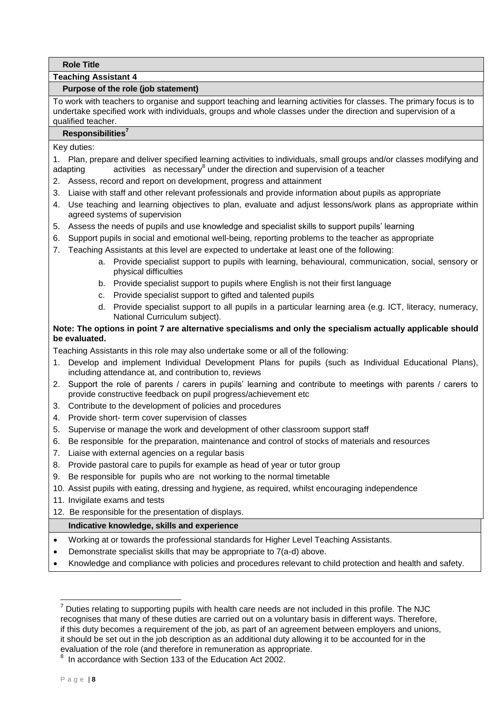## **Teaching Assistant 4**

## **Purpose of the role (job statement)**

To work with teachers to organise and support teaching and learning activities for classes. The primary focus is to undertake specified work with individuals, groups and whole classes under the direction and supervision of a qualified teacher.

## **Responsibilities<sup>7</sup>**

Key duties:

1. Plan, prepare and deliver specified learning activities to individuals, small groups and/or classes modifying and adapting activities as necessary under the direction and supervision of a teacher

- 2. Assess, record and report on development, progress and attainment
- 3. Liaise with staff and other relevant professionals and provide information about pupils as appropriate
- 4. Use teaching and learning objectives to plan, evaluate and adjust lessons/work plans as appropriate within agreed systems of supervision
- 5. Assess the needs of pupils and use knowledge and specialist skills to support pupils' learning
- 6. Support pupils in social and emotional well-being, reporting problems to the teacher as appropriate
- 7. Teaching Assistants at this level are expected to undertake at least one of the following:
	- a. Provide specialist support to pupils with learning, behavioural, communication, social, sensory or physical difficulties
	- b. Provide specialist support to pupils where English is not their first language
	- c. Provide specialist support to gifted and talented pupils
	- d. Provide specialist support to all pupils in a particular learning area (e.g. ICT, literacy, numeracy, National Curriculum subject).

# **Note: The options in point 7 are alternative specialisms and only the specialism actually applicable should be evaluated.**

Teaching Assistants in this role may also undertake some or all of the following:

- 1. Develop and implement Individual Development Plans for pupils (such as Individual Educational Plans), including attendance at, and contribution to, reviews
- 2. Support the role of parents / carers in pupils' learning and contribute to meetings with parents / carers to provide constructive feedback on pupil progress/achievement etc
- 3. Contribute to the development of policies and procedures
- 4. Provide short- term cover supervision of classes
- 5. Supervise or manage the work and development of other classroom support staff
- 6. Be responsible for the preparation, maintenance and control of stocks of materials and resources
- 7. Liaise with external agencies on a regular basis
- 8. Provide pastoral care to pupils for example as head of year or tutor group
- 9. Be responsible for pupils who are not working to the normal timetable
- 10. Assist pupils with eating, dressing and hygiene, as required, whilst encouraging independence
- 11. Invigilate exams and tests
- 12. Be responsible for the presentation of displays.

# **Indicative knowledge, skills and experience**

- Working at or towards the professional standards for Higher Level Teaching Assistants.
- Demonstrate specialist skills that may be appropriate to 7(a-d) above.
- Knowledge and compliance with policies and procedures relevant to child protection and health and safety.

 $7$  Duties relating to supporting pupils with health care needs are not included in this profile. The NJC recognises that many of these duties are carried out on a voluntary basis in different ways. Therefore, if this duty becomes a requirement of the job, as part of an agreement between employers and unions, it should be set out in the job description as an additional duty allowing it to be accounted for in the evaluation of the role (and therefore in remuneration as appropriate.

<sup>8</sup> In accordance with Section 133 of the Education Act 2002.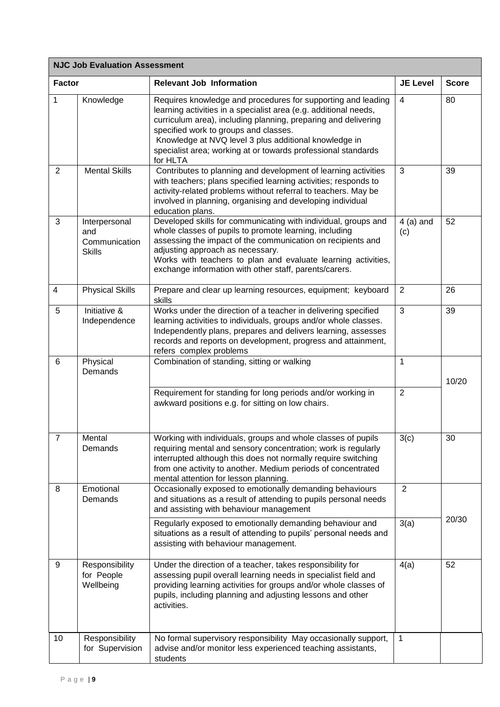| <b>NJC Job Evaluation Assessment</b> |                                                        |                                                                                                                                                                                                                                                                                                                                                                                   |                    |              |  |
|--------------------------------------|--------------------------------------------------------|-----------------------------------------------------------------------------------------------------------------------------------------------------------------------------------------------------------------------------------------------------------------------------------------------------------------------------------------------------------------------------------|--------------------|--------------|--|
| <b>Factor</b>                        |                                                        | <b>Relevant Job Information</b>                                                                                                                                                                                                                                                                                                                                                   | <b>JE Level</b>    | <b>Score</b> |  |
| 1                                    | Knowledge                                              | Requires knowledge and procedures for supporting and leading<br>learning activities in a specialist area (e.g. additional needs,<br>curriculum area), including planning, preparing and delivering<br>specified work to groups and classes.<br>Knowledge at NVQ level 3 plus additional knowledge in<br>specialist area; working at or towards professional standards<br>for HLTA | 4                  | 80           |  |
| 2                                    | <b>Mental Skills</b>                                   | Contributes to planning and development of learning activities<br>with teachers; plans specified learning activities; responds to<br>activity-related problems without referral to teachers. May be<br>involved in planning, organising and developing individual<br>education plans.                                                                                             | 3                  | 39           |  |
| 3                                    | Interpersonal<br>and<br>Communication<br><b>Skills</b> | Developed skills for communicating with individual, groups and<br>whole classes of pupils to promote learning, including<br>assessing the impact of the communication on recipients and<br>adjusting approach as necessary.<br>Works with teachers to plan and evaluate learning activities,<br>exchange information with other staff, parents/carers.                            | $4$ (a) and<br>(c) | 52           |  |
| 4                                    | <b>Physical Skills</b>                                 | Prepare and clear up learning resources, equipment; keyboard<br>skills                                                                                                                                                                                                                                                                                                            | $\overline{2}$     | 26           |  |
| 5                                    | Initiative &<br>Independence                           | Works under the direction of a teacher in delivering specified<br>learning activities to individuals, groups and/or whole classes.<br>Independently plans, prepares and delivers learning, assesses<br>records and reports on development, progress and attainment,<br>refers complex problems                                                                                    | 3                  | 39           |  |
| 6                                    | Physical<br>Demands                                    | Combination of standing, sitting or walking                                                                                                                                                                                                                                                                                                                                       | 1                  | 10/20        |  |
|                                      |                                                        | Requirement for standing for long periods and/or working in<br>awkward positions e.g. for sitting on low chairs.                                                                                                                                                                                                                                                                  | $\overline{2}$     |              |  |
| $\overline{7}$                       | Mental<br>Demands                                      | Working with individuals, groups and whole classes of pupils<br>requiring mental and sensory concentration; work is regularly<br>interrupted although this does not normally require switching<br>from one activity to another. Medium periods of concentrated<br>mental attention for lesson planning.                                                                           | 3(c)               | 30           |  |
| 8                                    | Emotional<br>Demands                                   | Occasionally exposed to emotionally demanding behaviours<br>and situations as a result of attending to pupils personal needs<br>and assisting with behaviour management                                                                                                                                                                                                           | $\overline{2}$     |              |  |
|                                      |                                                        | Regularly exposed to emotionally demanding behaviour and<br>situations as a result of attending to pupils' personal needs and<br>assisting with behaviour management.                                                                                                                                                                                                             | 3(a)               | 20/30        |  |
| 9                                    | Responsibility<br>for People<br>Wellbeing              | Under the direction of a teacher, takes responsibility for<br>assessing pupil overall learning needs in specialist field and<br>providing learning activities for groups and/or whole classes of<br>pupils, including planning and adjusting lessons and other<br>activities.                                                                                                     | 4(a)               | 52           |  |
| 10                                   | Responsibility<br>for Supervision                      | No formal supervisory responsibility May occasionally support,<br>advise and/or monitor less experienced teaching assistants,<br>students                                                                                                                                                                                                                                         | $\mathbf{1}$       |              |  |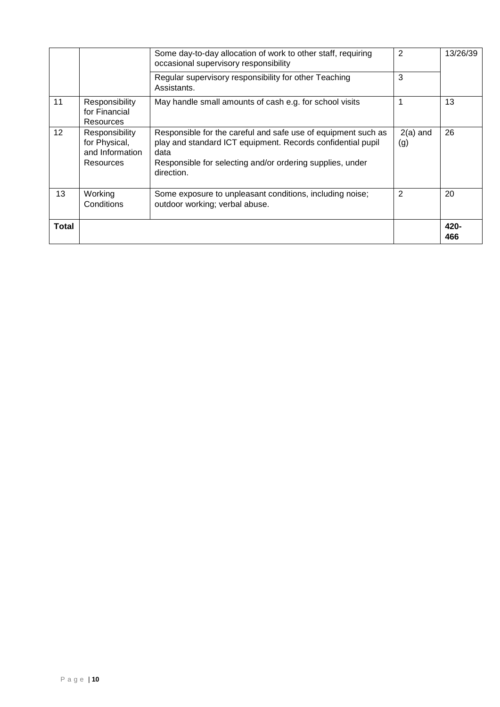|       |                                                                 | Some day-to-day allocation of work to other staff, requiring<br>occasional supervisory responsibility                                                                                                           | $\overline{2}$    | 13/26/39    |
|-------|-----------------------------------------------------------------|-----------------------------------------------------------------------------------------------------------------------------------------------------------------------------------------------------------------|-------------------|-------------|
|       |                                                                 | Regular supervisory responsibility for other Teaching<br>Assistants.                                                                                                                                            | 3                 |             |
| 11    | Responsibility<br>for Financial<br>Resources                    | May handle small amounts of cash e.g. for school visits                                                                                                                                                         | 1                 | 13          |
| 12    | Responsibility<br>for Physical,<br>and Information<br>Resources | Responsible for the careful and safe use of equipment such as<br>play and standard ICT equipment. Records confidential pupil<br>data<br>Responsible for selecting and/or ordering supplies, under<br>direction. | $2(a)$ and<br>(g) | 26          |
| 13    | Working<br>Conditions                                           | Some exposure to unpleasant conditions, including noise;<br>outdoor working; verbal abuse.                                                                                                                      | $\overline{2}$    | 20          |
| Total |                                                                 |                                                                                                                                                                                                                 |                   | 420-<br>466 |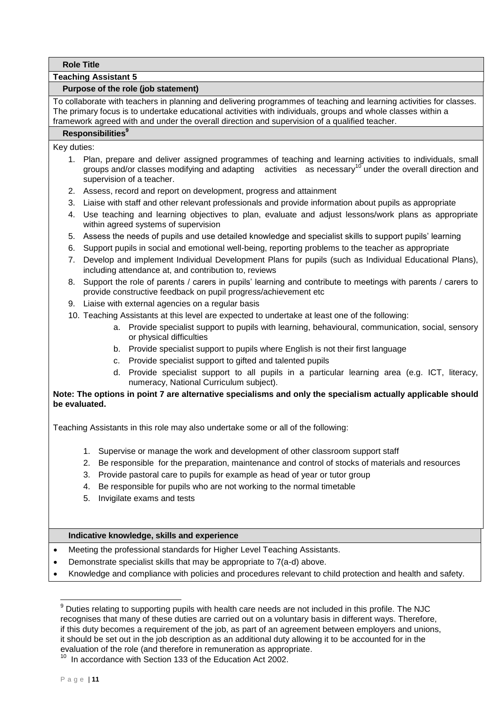### **Teaching Assistant 5**

## **Purpose of the role (job statement)**

To collaborate with teachers in planning and delivering programmes of teaching and learning activities for classes. The primary focus is to undertake educational activities with individuals, groups and whole classes within a framework agreed with and under the overall direction and supervision of a qualified teacher.

## **Responsibilities<sup>9</sup>**

Key duties:

- 1. Plan, prepare and deliver assigned programmes of teaching and learning activities to individuals, small groups and/or classes modifying and adapting activities as necessary<sup>10</sup> under the overall direction and supervision of a teacher.
- 2. Assess, record and report on development, progress and attainment
- 3. Liaise with staff and other relevant professionals and provide information about pupils as appropriate
- 4. Use teaching and learning objectives to plan, evaluate and adjust lessons/work plans as appropriate within agreed systems of supervision
- 5. Assess the needs of pupils and use detailed knowledge and specialist skills to support pupils' learning
- 6. Support pupils in social and emotional well-being, reporting problems to the teacher as appropriate
- 7. Develop and implement Individual Development Plans for pupils (such as Individual Educational Plans), including attendance at, and contribution to, reviews
- 8. Support the role of parents / carers in pupils' learning and contribute to meetings with parents / carers to provide constructive feedback on pupil progress/achievement etc
- 9. Liaise with external agencies on a regular basis
- 10. Teaching Assistants at this level are expected to undertake at least one of the following:
	- a. Provide specialist support to pupils with learning, behavioural, communication, social, sensory or physical difficulties
	- b. Provide specialist support to pupils where English is not their first language
	- c. Provide specialist support to gifted and talented pupils
	- d. Provide specialist support to all pupils in a particular learning area (e.g. ICT, literacy, numeracy, National Curriculum subject).

# **Note: The options in point 7 are alternative specialisms and only the specialism actually applicable should be evaluated.**

Teaching Assistants in this role may also undertake some or all of the following:

- 1. Supervise or manage the work and development of other classroom support staff
- 2. Be responsible for the preparation, maintenance and control of stocks of materials and resources
- 3. Provide pastoral care to pupils for example as head of year or tutor group
- 4. Be responsible for pupils who are not working to the normal timetable
- 5. Invigilate exams and tests

## **Indicative knowledge, skills and experience**

- Meeting the professional standards for Higher Level Teaching Assistants.
- Demonstrate specialist skills that may be appropriate to 7(a-d) above.
- Knowledge and compliance with policies and procedures relevant to child protection and health and safety.

 $9$  Duties relating to supporting pupils with health care needs are not included in this profile. The NJC recognises that many of these duties are carried out on a voluntary basis in different ways. Therefore, if this duty becomes a requirement of the job, as part of an agreement between employers and unions, it should be set out in the job description as an additional duty allowing it to be accounted for in the evaluation of the role (and therefore in remuneration as appropriate.

<sup>&</sup>lt;sup>10</sup> In accordance with Section 133 of the Education Act 2002.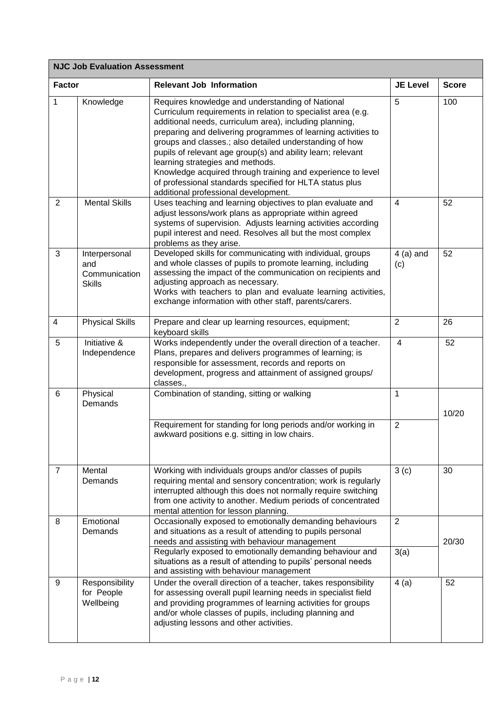| <b>NJC Job Evaluation Assessment</b> |                                                        |                                                                                                                                                                                                                                                                                                                                                                                                                                                                                                                                                                               |                        |              |
|--------------------------------------|--------------------------------------------------------|-------------------------------------------------------------------------------------------------------------------------------------------------------------------------------------------------------------------------------------------------------------------------------------------------------------------------------------------------------------------------------------------------------------------------------------------------------------------------------------------------------------------------------------------------------------------------------|------------------------|--------------|
| <b>Factor</b>                        |                                                        | <b>Relevant Job Information</b>                                                                                                                                                                                                                                                                                                                                                                                                                                                                                                                                               | <b>JE Level</b>        | <b>Score</b> |
| 1                                    | Knowledge                                              | Requires knowledge and understanding of National<br>Curriculum requirements in relation to specialist area (e.g.<br>additional needs, curriculum area), including planning,<br>preparing and delivering programmes of learning activities to<br>groups and classes.; also detailed understanding of how<br>pupils of relevant age group(s) and ability learn; relevant<br>learning strategies and methods.<br>Knowledge acquired through training and experience to level<br>of professional standards specified for HLTA status plus<br>additional professional development. | 5                      | 100          |
| $\mathbf{2}$                         | <b>Mental Skills</b>                                   | Uses teaching and learning objectives to plan evaluate and<br>adjust lessons/work plans as appropriate within agreed<br>systems of supervision. Adjusts learning activities according<br>pupil interest and need. Resolves all but the most complex<br>problems as they arise.                                                                                                                                                                                                                                                                                                | 4                      | 52           |
| 3                                    | Interpersonal<br>and<br>Communication<br><b>Skills</b> | Developed skills for communicating with individual, groups<br>and whole classes of pupils to promote learning, including<br>assessing the impact of the communication on recipients and<br>adjusting approach as necessary.<br>Works with teachers to plan and evaluate learning activities,<br>exchange information with other staff, parents/carers.                                                                                                                                                                                                                        | $4$ (a) and<br>(c)     | 52           |
| $\overline{4}$                       | <b>Physical Skills</b>                                 | Prepare and clear up learning resources, equipment;<br>keyboard skills                                                                                                                                                                                                                                                                                                                                                                                                                                                                                                        | $\overline{2}$         | 26           |
| 5                                    | Initiative &<br>Independence                           | Works independently under the overall direction of a teacher.<br>Plans, prepares and delivers programmes of learning; is<br>responsible for assessment, records and reports on<br>development, progress and attainment of assigned groups/<br>classes.,                                                                                                                                                                                                                                                                                                                       | $\overline{4}$         | 52           |
| 6                                    | Physical<br>Demands                                    | Combination of standing, sitting or walking                                                                                                                                                                                                                                                                                                                                                                                                                                                                                                                                   | 1                      | 10/20        |
|                                      |                                                        | Requirement for standing for long periods and/or working in<br>awkward positions e.g. sitting in low chairs.                                                                                                                                                                                                                                                                                                                                                                                                                                                                  | $\overline{2}$         |              |
| $\overline{7}$                       | Mental<br>Demands                                      | Working with individuals groups and/or classes of pupils<br>requiring mental and sensory concentration; work is regularly<br>interrupted although this does not normally require switching<br>from one activity to another. Medium periods of concentrated<br>mental attention for lesson planning.                                                                                                                                                                                                                                                                           | 3(c)                   | 30           |
| 8                                    | Emotional<br>Demands                                   | Occasionally exposed to emotionally demanding behaviours<br>and situations as a result of attending to pupils personal<br>needs and assisting with behaviour management<br>Regularly exposed to emotionally demanding behaviour and                                                                                                                                                                                                                                                                                                                                           | $\overline{2}$<br>3(a) | 20/30        |
|                                      |                                                        | situations as a result of attending to pupils' personal needs<br>and assisting with behaviour management                                                                                                                                                                                                                                                                                                                                                                                                                                                                      |                        |              |
| 9                                    | Responsibility<br>for People<br>Wellbeing              | Under the overall direction of a teacher, takes responsibility<br>for assessing overall pupil learning needs in specialist field<br>and providing programmes of learning activities for groups<br>and/or whole classes of pupils, including planning and<br>adjusting lessons and other activities.                                                                                                                                                                                                                                                                           | 4(a)                   | 52           |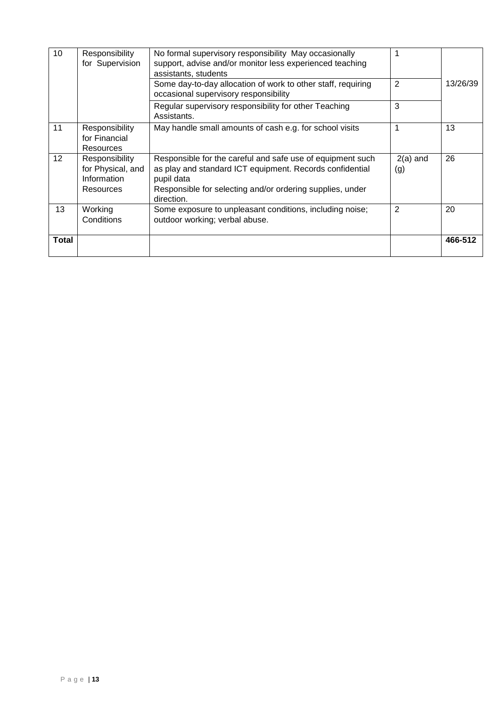| 10           | Responsibility<br>for Supervision                                      | No formal supervisory responsibility May occasionally<br>support, advise and/or monitor less experienced teaching<br>assistants, students                                                                       |                   |          |
|--------------|------------------------------------------------------------------------|-----------------------------------------------------------------------------------------------------------------------------------------------------------------------------------------------------------------|-------------------|----------|
|              |                                                                        | Some day-to-day allocation of work to other staff, requiring<br>occasional supervisory responsibility                                                                                                           | $\overline{2}$    | 13/26/39 |
|              |                                                                        | Regular supervisory responsibility for other Teaching<br>Assistants.                                                                                                                                            | 3                 |          |
| 11           | Responsibility<br>for Financial<br><b>Resources</b>                    | May handle small amounts of cash e.g. for school visits                                                                                                                                                         | 1                 | 13       |
| 12           | Responsibility<br>for Physical, and<br>Information<br><b>Resources</b> | Responsible for the careful and safe use of equipment such<br>as play and standard ICT equipment. Records confidential<br>pupil data<br>Responsible for selecting and/or ordering supplies, under<br>direction. | $2(a)$ and<br>(g) | 26       |
| 13           | Working<br>Conditions                                                  | Some exposure to unpleasant conditions, including noise;<br>outdoor working; verbal abuse.                                                                                                                      | 2                 | 20       |
| <b>Total</b> |                                                                        |                                                                                                                                                                                                                 |                   | 466-512  |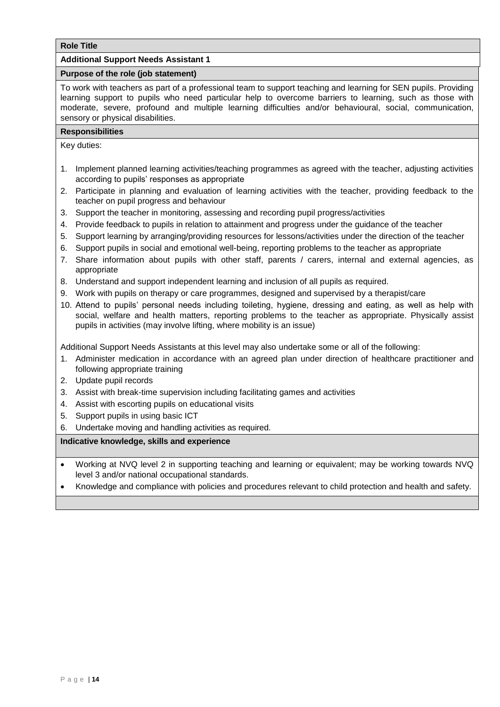## **Additional Support Needs Assistant 1**

## **Purpose of the role (job statement)**

To work with teachers as part of a professional team to support teaching and learning for SEN pupils. Providing learning support to pupils who need particular help to overcome barriers to learning, such as those with moderate, severe, profound and multiple learning difficulties and/or behavioural, social, communication, sensory or physical disabilities.

### **Responsibilities**

Key duties:

- 1. Implement planned learning activities/teaching programmes as agreed with the teacher, adjusting activities according to pupils' responses as appropriate
- 2. Participate in planning and evaluation of learning activities with the teacher, providing feedback to the teacher on pupil progress and behaviour
- 3. Support the teacher in monitoring, assessing and recording pupil progress/activities
- 4. Provide feedback to pupils in relation to attainment and progress under the guidance of the teacher
- 5. Support learning by arranging/providing resources for lessons/activities under the direction of the teacher
- 6. Support pupils in social and emotional well-being, reporting problems to the teacher as appropriate
- 7. Share information about pupils with other staff, parents / carers, internal and external agencies, as appropriate
- 8. Understand and support independent learning and inclusion of all pupils as required.
- 9. Work with pupils on therapy or care programmes, designed and supervised by a therapist/care
- 10. Attend to pupils' personal needs including toileting, hygiene, dressing and eating, as well as help with social, welfare and health matters, reporting problems to the teacher as appropriate. Physically assist pupils in activities (may involve lifting, where mobility is an issue)

Additional Support Needs Assistants at this level may also undertake some or all of the following:

- 1. Administer medication in accordance with an agreed plan under direction of healthcare practitioner and following appropriate training
- 2. Update pupil records
- 3. Assist with break-time supervision including facilitating games and activities
- 4. Assist with escorting pupils on educational visits
- 5. Support pupils in using basic ICT
- 6. Undertake moving and handling activities as required.

- Working at NVQ level 2 in supporting teaching and learning or equivalent; may be working towards NVQ level 3 and/or national occupational standards.
- Knowledge and compliance with policies and procedures relevant to child protection and health and safety.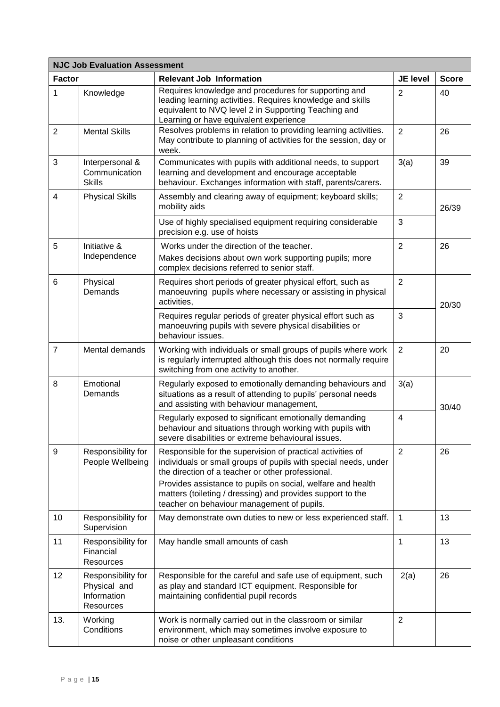|                | <b>NJC Job Evaluation Assessment</b>                                  |                                                                                                                                                                                                                                                   |                         |              |
|----------------|-----------------------------------------------------------------------|---------------------------------------------------------------------------------------------------------------------------------------------------------------------------------------------------------------------------------------------------|-------------------------|--------------|
| <b>Factor</b>  |                                                                       | <b>Relevant Job Information</b>                                                                                                                                                                                                                   | <b>JE level</b>         | <b>Score</b> |
| 1              | Knowledge                                                             | Requires knowledge and procedures for supporting and<br>leading learning activities. Requires knowledge and skills<br>equivalent to NVQ level 2 in Supporting Teaching and<br>Learning or have equivalent experience                              | $\overline{2}$          | 40           |
| 2              | <b>Mental Skills</b>                                                  | Resolves problems in relation to providing learning activities.<br>May contribute to planning of activities for the session, day or<br>week.                                                                                                      | $\overline{2}$          | 26           |
| 3              | Interpersonal &<br>Communication<br><b>Skills</b>                     | Communicates with pupils with additional needs, to support<br>learning and development and encourage acceptable<br>behaviour. Exchanges information with staff, parents/carers.                                                                   | 3(a)                    | 39           |
| $\overline{4}$ | <b>Physical Skills</b>                                                | Assembly and clearing away of equipment; keyboard skills;<br>mobility aids                                                                                                                                                                        | $\overline{2}$          | 26/39        |
|                |                                                                       | Use of highly specialised equipment requiring considerable<br>precision e.g. use of hoists                                                                                                                                                        | $\mathbf{3}$            |              |
| 5              | Initiative &<br>Independence                                          | Works under the direction of the teacher.<br>Makes decisions about own work supporting pupils; more<br>complex decisions referred to senior staff.                                                                                                | $\overline{2}$          | 26           |
| 6              | Physical<br>Demands                                                   | Requires short periods of greater physical effort, such as<br>manoeuvring pupils where necessary or assisting in physical<br>activities,                                                                                                          | $\overline{2}$          | 20/30        |
|                |                                                                       | Requires regular periods of greater physical effort such as<br>manoeuvring pupils with severe physical disabilities or<br>behaviour issues.                                                                                                       | 3                       |              |
| $\overline{7}$ | Mental demands                                                        | Working with individuals or small groups of pupils where work<br>is regularly interrupted although this does not normally require<br>switching from one activity to another.                                                                      | 2                       | 20           |
| 8              | Emotional<br>Demands                                                  | Regularly exposed to emotionally demanding behaviours and<br>situations as a result of attending to pupils' personal needs<br>and assisting with behaviour management,                                                                            | 3(a)                    | 30/40        |
|                |                                                                       | Regularly exposed to significant emotionally demanding<br>behaviour and situations through working with pupils with<br>severe disabilities or extreme behavioural issues.                                                                         | $\overline{\mathbf{4}}$ |              |
| 9              | Responsibility for<br>People Wellbeing                                | Responsible for the supervision of practical activities of<br>individuals or small groups of pupils with special needs, under<br>the direction of a teacher or other professional.<br>Provides assistance to pupils on social, welfare and health | $\overline{2}$          | 26           |
|                |                                                                       | matters (toileting / dressing) and provides support to the<br>teacher on behaviour management of pupils.                                                                                                                                          |                         |              |
| 10             | Responsibility for<br>Supervision                                     | May demonstrate own duties to new or less experienced staff.                                                                                                                                                                                      | 1                       | 13           |
| 11             | Responsibility for<br>Financial<br><b>Resources</b>                   | May handle small amounts of cash                                                                                                                                                                                                                  | $\mathbf{1}$            | 13           |
| 12             | Responsibility for<br>Physical and<br>Information<br><b>Resources</b> | Responsible for the careful and safe use of equipment, such<br>as play and standard ICT equipment. Responsible for<br>maintaining confidential pupil records                                                                                      | 2(a)                    | 26           |
| 13.            | Working<br>Conditions                                                 | Work is normally carried out in the classroom or similar<br>environment, which may sometimes involve exposure to<br>noise or other unpleasant conditions                                                                                          | $\overline{2}$          |              |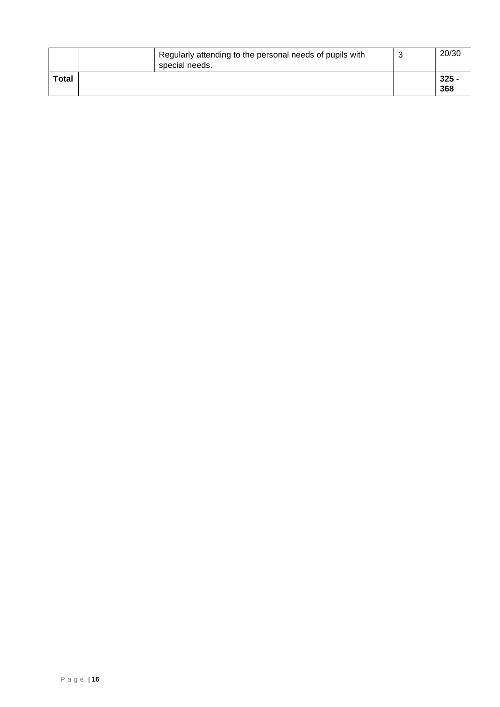|              | Regularly attending to the personal needs of pupils with<br>special needs. | N | 20/30          |
|--------------|----------------------------------------------------------------------------|---|----------------|
| <b>Total</b> |                                                                            |   | $325 -$<br>368 |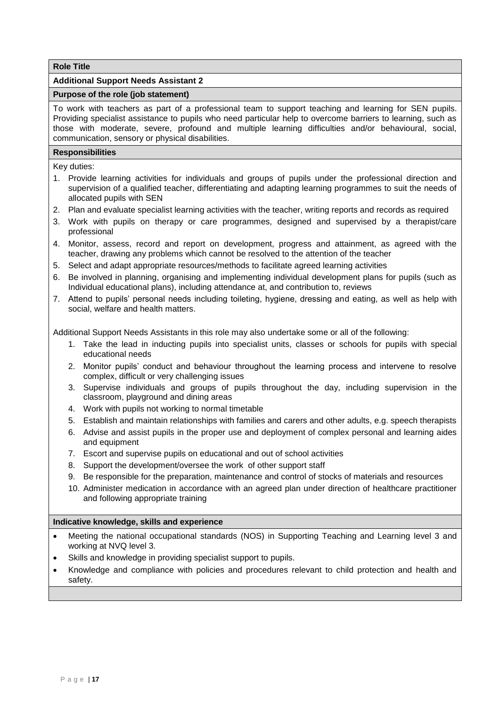## <span id="page-18-0"></span>**Additional Support Needs Assistant 2**

#### **Purpose of the role (job statement)**

To work with teachers as part of a professional team to support teaching and learning for SEN pupils. Providing specialist assistance to pupils who need particular help to overcome barriers to learning, such as those with moderate, severe, profound and multiple learning difficulties and/or behavioural, social, communication, sensory or physical disabilities.

# **Responsibilities**

Key duties:

- 1. Provide learning activities for individuals and groups of pupils under the professional direction and supervision of a qualified teacher, differentiating and adapting learning programmes to suit the needs of allocated pupils with SEN
- 2. Plan and evaluate specialist learning activities with the teacher, writing reports and records as required
- 3. Work with pupils on therapy or care programmes, designed and supervised by a therapist/care professional
- 4. Monitor, assess, record and report on development, progress and attainment, as agreed with the teacher, drawing any problems which cannot be resolved to the attention of the teacher
- 5. Select and adapt appropriate resources/methods to facilitate agreed learning activities
- 6. Be involved in planning, organising and implementing individual development plans for pupils (such as Individual educational plans), including attendance at, and contribution to, reviews
- 7. Attend to pupils' personal needs including toileting, hygiene, dressing and eating, as well as help with social, welfare and health matters.

Additional Support Needs Assistants in this role may also undertake some or all of the following:

- 1. Take the lead in inducting pupils into specialist units, classes or schools for pupils with special educational needs
- 2. Monitor pupils' conduct and behaviour throughout the learning process and intervene to resolve complex, difficult or very challenging issues
- 3. Supervise individuals and groups of pupils throughout the day, including supervision in the classroom, playground and dining areas
- 4. Work with pupils not working to normal timetable
- 5. Establish and maintain relationships with families and carers and other adults, e.g. speech therapists
- 6. Advise and assist pupils in the proper use and deployment of complex personal and learning aides and equipment
- 7. Escort and supervise pupils on educational and out of school activities
- 8. Support the development/oversee the work of other support staff
- 9. Be responsible for the preparation, maintenance and control of stocks of materials and resources
- 10. Administer medication in accordance with an agreed plan under direction of healthcare practitioner and following appropriate training

- Meeting the national occupational standards (NOS) in Supporting Teaching and Learning level 3 and working at NVQ level 3.
- Skills and knowledge in providing specialist support to pupils.
- Knowledge and compliance with policies and procedures relevant to child protection and health and safety.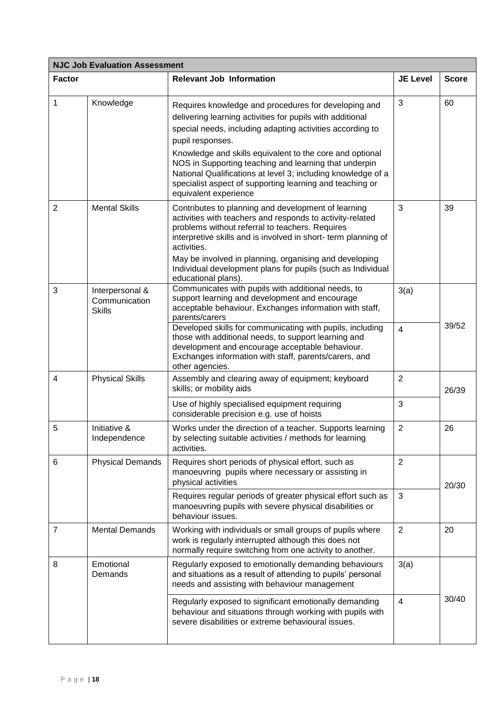| <b>NJC Job Evaluation Assessment</b> |                                                   |                                                                                                                                                                                                                                                                                                                                                                                                                                                                              |                 |              |  |
|--------------------------------------|---------------------------------------------------|------------------------------------------------------------------------------------------------------------------------------------------------------------------------------------------------------------------------------------------------------------------------------------------------------------------------------------------------------------------------------------------------------------------------------------------------------------------------------|-----------------|--------------|--|
| <b>Factor</b>                        |                                                   | <b>Relevant Job Information</b>                                                                                                                                                                                                                                                                                                                                                                                                                                              | <b>JE Level</b> | <b>Score</b> |  |
| 1                                    | Knowledge                                         | Requires knowledge and procedures for developing and<br>delivering learning activities for pupils with additional<br>special needs, including adapting activities according to<br>pupil responses.<br>Knowledge and skills equivalent to the core and optional<br>NOS in Supporting teaching and learning that underpin<br>National Qualifications at level 3; including knowledge of a<br>specialist aspect of supporting learning and teaching or<br>equivalent experience | 3               | 60           |  |
| $\overline{2}$                       | <b>Mental Skills</b>                              | Contributes to planning and development of learning<br>activities with teachers and responds to activity-related<br>problems without referral to teachers. Requires<br>interpretive skills and is involved in short- term planning of<br>activities.<br>May be involved in planning, organising and developing<br>Individual development plans for pupils (such as Individual<br>educational plans).                                                                         | 3               | 39           |  |
| 3                                    | Interpersonal &<br>Communication<br><b>Skills</b> | Communicates with pupils with additional needs, to<br>support learning and development and encourage<br>acceptable behaviour. Exchanges information with staff,<br>parents/carers<br>Developed skills for communicating with pupils, including                                                                                                                                                                                                                               | 3(a)            | 39/52        |  |
|                                      |                                                   | those with additional needs, to support learning and<br>development and encourage acceptable behaviour.<br>Exchanges information with staff, parents/carers, and<br>other agencies.                                                                                                                                                                                                                                                                                          | $\overline{4}$  |              |  |
| $\overline{4}$                       | <b>Physical Skills</b>                            | Assembly and clearing away of equipment; keyboard<br>skills; or mobility aids                                                                                                                                                                                                                                                                                                                                                                                                | $\overline{2}$  | 26/39        |  |
|                                      |                                                   | Use of highly specialised equipment requiring<br>considerable precision e.g. use of hoists                                                                                                                                                                                                                                                                                                                                                                                   | 3               |              |  |
| 5                                    | Initiative &<br>Independence                      | Works under the direction of a teacher. Supports learning<br>by selecting suitable activities / methods for learning<br>activities.                                                                                                                                                                                                                                                                                                                                          | $\overline{2}$  | 26           |  |
| 6                                    | <b>Physical Demands</b>                           | Requires short periods of physical effort, such as<br>manoeuvring pupils where necessary or assisting in<br>physical activities                                                                                                                                                                                                                                                                                                                                              | $\overline{2}$  | 20/30        |  |
|                                      |                                                   | Requires regular periods of greater physical effort such as<br>manoeuvring pupils with severe physical disabilities or<br>behaviour issues.                                                                                                                                                                                                                                                                                                                                  | 3               |              |  |
| $\overline{7}$                       | <b>Mental Demands</b>                             | Working with individuals or small groups of pupils where<br>work is regularly interrupted although this does not<br>normally require switching from one activity to another.                                                                                                                                                                                                                                                                                                 | $\overline{2}$  | 20           |  |
| 8                                    | Emotional<br>Demands                              | Regularly exposed to emotionally demanding behaviours<br>and situations as a result of attending to pupils' personal<br>needs and assisting with behaviour management                                                                                                                                                                                                                                                                                                        | 3(a)            |              |  |
|                                      |                                                   | Regularly exposed to significant emotionally demanding<br>behaviour and situations through working with pupils with<br>severe disabilities or extreme behavioural issues.                                                                                                                                                                                                                                                                                                    | $\overline{4}$  | 30/40        |  |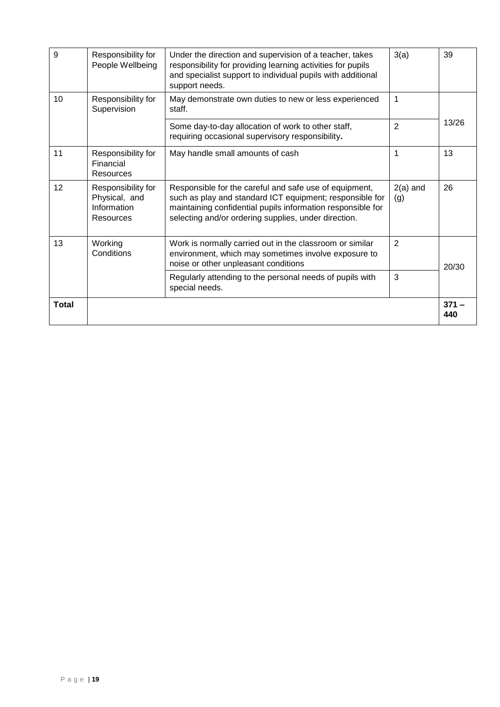| <b>Total</b> |                                                                 |                                                                                                                                                                                                                                           |                   | $371 -$<br>440 |
|--------------|-----------------------------------------------------------------|-------------------------------------------------------------------------------------------------------------------------------------------------------------------------------------------------------------------------------------------|-------------------|----------------|
|              |                                                                 | Regularly attending to the personal needs of pupils with<br>special needs.                                                                                                                                                                | 3                 |                |
| 13           | Working<br>Conditions                                           | Work is normally carried out in the classroom or similar<br>environment, which may sometimes involve exposure to<br>noise or other unpleasant conditions                                                                                  | $\overline{2}$    | 20/30          |
| 12           | Responsibility for<br>Physical, and<br>Information<br>Resources | Responsible for the careful and safe use of equipment,<br>such as play and standard ICT equipment; responsible for<br>maintaining confidential pupils information responsible for<br>selecting and/or ordering supplies, under direction. | $2(a)$ and<br>(g) | 26             |
| 11           | Responsibility for<br>Financial<br>Resources                    | May handle small amounts of cash                                                                                                                                                                                                          | 1                 | 13             |
|              |                                                                 | Some day-to-day allocation of work to other staff,<br>requiring occasional supervisory responsibility.                                                                                                                                    | $\overline{2}$    | 13/26          |
| 10           | Responsibility for<br>Supervision                               | May demonstrate own duties to new or less experienced<br>staff.                                                                                                                                                                           | 1                 |                |
| 9            | Responsibility for<br>People Wellbeing                          | Under the direction and supervision of a teacher, takes<br>responsibility for providing learning activities for pupils<br>and specialist support to individual pupils with additional<br>support needs.                                   | 3(a)              | 39             |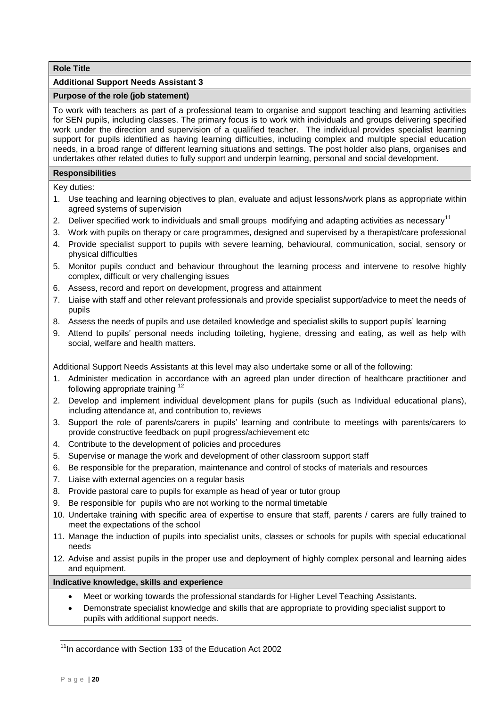## <span id="page-21-0"></span>**Additional Support Needs Assistant 3**

## **Purpose of the role (job statement)**

To work with teachers as part of a professional team to organise and support teaching and learning activities for SEN pupils, including classes. The primary focus is to work with individuals and groups delivering specified work under the direction and supervision of a qualified teacher. The individual provides specialist learning support for pupils identified as having learning difficulties, including complex and multiple special education needs, in a broad range of different learning situations and settings. The post holder also plans, organises and undertakes other related duties to fully support and underpin learning, personal and social development.

#### **Responsibilities**

Key duties:

- 1. Use teaching and learning objectives to plan, evaluate and adjust lessons/work plans as appropriate within agreed systems of supervision
- 2. Deliver specified work to individuals and small groups modifying and adapting activities as necessary<sup>11</sup>
- 3. Work with pupils on therapy or care programmes, designed and supervised by a therapist/care professional
- 4. Provide specialist support to pupils with severe learning, behavioural, communication, social, sensory or physical difficulties
- 5. Monitor pupils conduct and behaviour throughout the learning process and intervene to resolve highly complex, difficult or very challenging issues
- 6. Assess, record and report on development, progress and attainment
- 7. Liaise with staff and other relevant professionals and provide specialist support/advice to meet the needs of pupils
- 8. Assess the needs of pupils and use detailed knowledge and specialist skills to support pupils' learning
- 9. Attend to pupils' personal needs including toileting, hygiene, dressing and eating, as well as help with social, welfare and health matters.

Additional Support Needs Assistants at this level may also undertake some or all of the following:

- 1. Administer medication in accordance with an agreed plan under direction of healthcare practitioner and following appropriate training <sup>12</sup>
- 2. Develop and implement individual development plans for pupils (such as Individual educational plans), including attendance at, and contribution to, reviews
- 3. Support the role of parents/carers in pupils' learning and contribute to meetings with parents/carers to provide constructive feedback on pupil progress/achievement etc
- 4. Contribute to the development of policies and procedures
- 5. Supervise or manage the work and development of other classroom support staff
- 6. Be responsible for the preparation, maintenance and control of stocks of materials and resources
- 7. Liaise with external agencies on a regular basis
- 8. Provide pastoral care to pupils for example as head of year or tutor group
- 9. Be responsible for pupils who are not working to the normal timetable
- 10. Undertake training with specific area of expertise to ensure that staff, parents / carers are fully trained to meet the expectations of the school
- 11. Manage the induction of pupils into specialist units, classes or schools for pupils with special educational needs
- 12. Advise and assist pupils in the proper use and deployment of highly complex personal and learning aides and equipment.

## **Indicative knowledge, skills and experience**

- Meet or working towards the professional standards for Higher Level Teaching Assistants.
- Demonstrate specialist knowledge and skills that are appropriate to providing specialist support to pupils with additional support needs.

<sup>&</sup>lt;sup>11</sup>In accordance with Section 133 of the Education Act 2002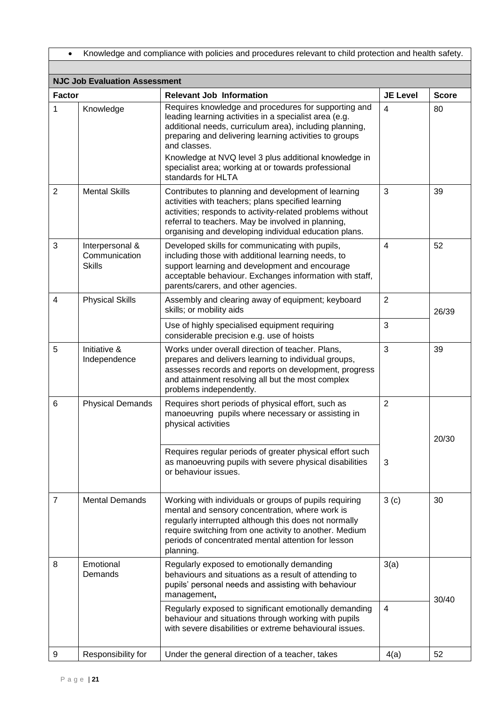| Knowledge and compliance with policies and procedures relevant to child protection and health safety. |                                                   |                                                                                                                                                                                                                                                                                                                                                                                           |                 |              |
|-------------------------------------------------------------------------------------------------------|---------------------------------------------------|-------------------------------------------------------------------------------------------------------------------------------------------------------------------------------------------------------------------------------------------------------------------------------------------------------------------------------------------------------------------------------------------|-----------------|--------------|
|                                                                                                       |                                                   |                                                                                                                                                                                                                                                                                                                                                                                           |                 |              |
|                                                                                                       | <b>NJC Job Evaluation Assessment</b>              |                                                                                                                                                                                                                                                                                                                                                                                           |                 |              |
| <b>Factor</b>                                                                                         |                                                   | <b>Relevant Job Information</b>                                                                                                                                                                                                                                                                                                                                                           | <b>JE Level</b> | <b>Score</b> |
| 1                                                                                                     | Knowledge                                         | Requires knowledge and procedures for supporting and<br>leading learning activities in a specialist area (e.g.<br>additional needs, curriculum area), including planning,<br>preparing and delivering learning activities to groups<br>and classes.<br>Knowledge at NVQ level 3 plus additional knowledge in<br>specialist area; working at or towards professional<br>standards for HLTA | 4               | 80           |
| $\overline{2}$                                                                                        | <b>Mental Skills</b>                              | Contributes to planning and development of learning<br>activities with teachers; plans specified learning<br>activities; responds to activity-related problems without<br>referral to teachers. May be involved in planning,<br>organising and developing individual education plans.                                                                                                     | 3               | 39           |
| 3                                                                                                     | Interpersonal &<br>Communication<br><b>Skills</b> | Developed skills for communicating with pupils,<br>including those with additional learning needs, to<br>support learning and development and encourage<br>acceptable behaviour. Exchanges information with staff,<br>parents/carers, and other agencies.                                                                                                                                 | $\overline{4}$  | 52           |
| $\overline{4}$                                                                                        | <b>Physical Skills</b>                            | Assembly and clearing away of equipment; keyboard<br>skills; or mobility aids                                                                                                                                                                                                                                                                                                             | $\overline{2}$  | 26/39        |
|                                                                                                       |                                                   | Use of highly specialised equipment requiring<br>considerable precision e.g. use of hoists                                                                                                                                                                                                                                                                                                | 3               |              |
| 5                                                                                                     | Initiative &<br>Independence                      | Works under overall direction of teacher. Plans,<br>prepares and delivers learning to individual groups,<br>assesses records and reports on development, progress<br>and attainment resolving all but the most complex<br>problems independently.                                                                                                                                         | 3               | 39           |
| 6                                                                                                     | <b>Physical Demands</b>                           | Requires short periods of physical effort, such as<br>manoeuvring pupils where necessary or assisting in<br>physical activities                                                                                                                                                                                                                                                           | $\overline{2}$  | 20/30        |
|                                                                                                       |                                                   | Requires regular periods of greater physical effort such<br>as manoeuvring pupils with severe physical disabilities<br>or behaviour issues.                                                                                                                                                                                                                                               | 3               |              |
| $\overline{7}$                                                                                        | <b>Mental Demands</b>                             | Working with individuals or groups of pupils requiring<br>mental and sensory concentration, where work is<br>regularly interrupted although this does not normally<br>require switching from one activity to another. Medium<br>periods of concentrated mental attention for lesson<br>planning.                                                                                          | 3(c)            | 30           |
| 8                                                                                                     | Emotional<br>Demands                              | Regularly exposed to emotionally demanding<br>behaviours and situations as a result of attending to<br>pupils' personal needs and assisting with behaviour<br>management,                                                                                                                                                                                                                 | 3(a)            | 30/40        |
|                                                                                                       |                                                   | Regularly exposed to significant emotionally demanding<br>behaviour and situations through working with pupils<br>with severe disabilities or extreme behavioural issues.                                                                                                                                                                                                                 | 4               |              |
| 9                                                                                                     | Responsibility for                                | Under the general direction of a teacher, takes                                                                                                                                                                                                                                                                                                                                           | 4(a)            | 52           |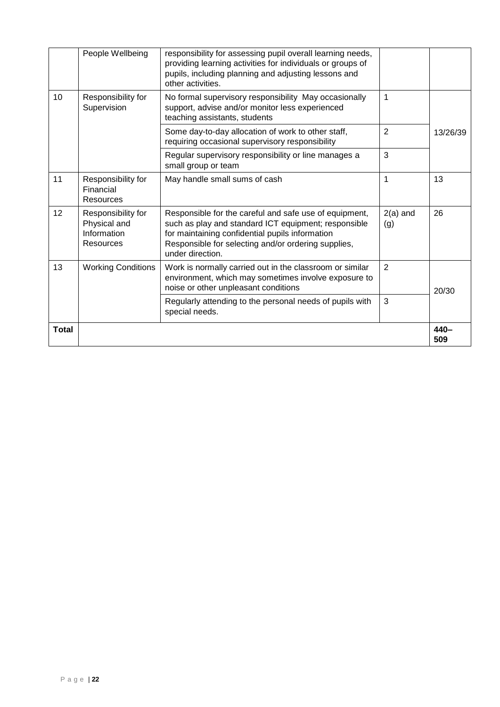|              | People Wellbeing                                               | responsibility for assessing pupil overall learning needs,<br>providing learning activities for individuals or groups of<br>pupils, including planning and adjusting lessons and<br>other activities.                                        |                   |                |
|--------------|----------------------------------------------------------------|----------------------------------------------------------------------------------------------------------------------------------------------------------------------------------------------------------------------------------------------|-------------------|----------------|
| 10           | Responsibility for<br>Supervision                              | No formal supervisory responsibility May occasionally<br>support, advise and/or monitor less experienced<br>teaching assistants, students                                                                                                    | 1                 |                |
|              |                                                                | Some day-to-day allocation of work to other staff,<br>requiring occasional supervisory responsibility                                                                                                                                        | $\overline{2}$    | 13/26/39       |
|              |                                                                | Regular supervisory responsibility or line manages a<br>small group or team                                                                                                                                                                  | 3                 |                |
| 11           | Responsibility for<br>Financial<br>Resources                   | May handle small sums of cash                                                                                                                                                                                                                | $\mathbf 1$       | 13             |
| 12           | Responsibility for<br>Physical and<br>Information<br>Resources | Responsible for the careful and safe use of equipment,<br>such as play and standard ICT equipment; responsible<br>for maintaining confidential pupils information<br>Responsible for selecting and/or ordering supplies,<br>under direction. | $2(a)$ and<br>(g) | 26             |
| 13           | <b>Working Conditions</b>                                      | Work is normally carried out in the classroom or similar<br>environment, which may sometimes involve exposure to<br>noise or other unpleasant conditions                                                                                     | 2                 | 20/30          |
|              |                                                                | Regularly attending to the personal needs of pupils with<br>special needs.                                                                                                                                                                   | 3                 |                |
| <b>Total</b> |                                                                |                                                                                                                                                                                                                                              |                   | $440 -$<br>509 |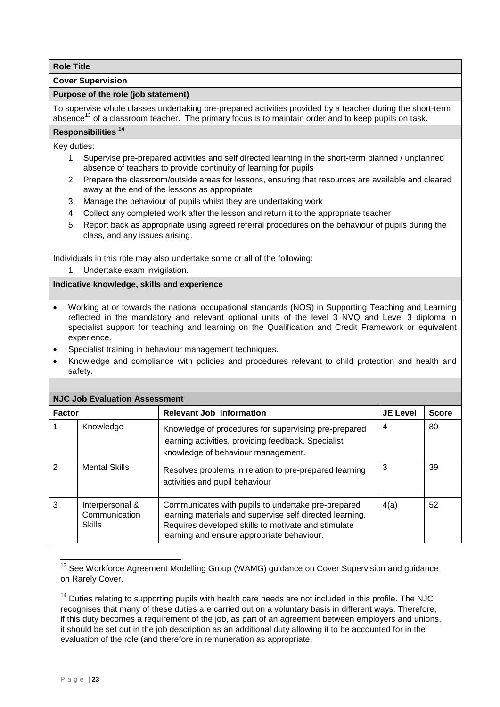<span id="page-24-0"></span>**Cover Supervision**

## **Purpose of the role (job statement)**

To supervise whole classes undertaking pre-prepared activities provided by a teacher during the short-term absence<sup>13</sup> of a classroom teacher. The primary focus is to maintain order and to keep pupils on task.

# **Responsibilities <sup>14</sup>**

## Key duties:

- 1. Supervise pre-prepared activities and self directed learning in the short-term planned / unplanned absence of teachers to provide continuity of learning for pupils
- 2. Prepare the classroom/outside areas for lessons, ensuring that resources are available and cleared away at the end of the lessons as appropriate
- 3. Manage the behaviour of pupils whilst they are undertaking work
- 4. Collect any completed work after the lesson and return it to the appropriate teacher
- 5. Report back as appropriate using agreed referral procedures on the behaviour of pupils during the class, and any issues arising.

Individuals in this role may also undertake some or all of the following:

1. Undertake exam invigilation.

**Indicative knowledge, skills and experience** 

- Working at or towards the national occupational standards (NOS) in Supporting Teaching and Learning reflected in the mandatory and relevant optional units of the level 3 NVQ and Level 3 diploma in specialist support for teaching and learning on the Qualification and Credit Framework or equivalent experience.
- Specialist training in behaviour management techniques.
- Knowledge and compliance with policies and procedures relevant to child protection and health and safety.

| <b>NJC Job Evaluation Assessment</b> |                                                   |                                                                                                                                                                                                                     |                 |              |  |
|--------------------------------------|---------------------------------------------------|---------------------------------------------------------------------------------------------------------------------------------------------------------------------------------------------------------------------|-----------------|--------------|--|
| <b>Factor</b>                        |                                                   | <b>Relevant Job Information</b>                                                                                                                                                                                     | <b>JE Level</b> | <b>Score</b> |  |
|                                      | Knowledge                                         | Knowledge of procedures for supervising pre-prepared<br>learning activities, providing feedback. Specialist<br>knowledge of behaviour management.                                                                   | 4               | 80           |  |
| $\mathcal{P}$                        | <b>Mental Skills</b>                              | Resolves problems in relation to pre-prepared learning<br>activities and pupil behaviour                                                                                                                            | 3               | 39           |  |
| 3                                    | Interpersonal &<br>Communication<br><b>Skills</b> | Communicates with pupils to undertake pre-prepared<br>learning materials and supervise self directed learning.<br>Requires developed skills to motivate and stimulate<br>learning and ensure appropriate behaviour. | 4(a)            | 52           |  |

1 <sup>13</sup> See Workforce Agreement Modelling Group (WAMG) guidance on Cover Supervision and guidance on Rarely Cover.

<sup>14</sup> Duties relating to supporting pupils with health care needs are not included in this profile. The NJC recognises that many of these duties are carried out on a voluntary basis in different ways. Therefore, if this duty becomes a requirement of the job, as part of an agreement between employers and unions, it should be set out in the job description as an additional duty allowing it to be accounted for in the evaluation of the role (and therefore in remuneration as appropriate.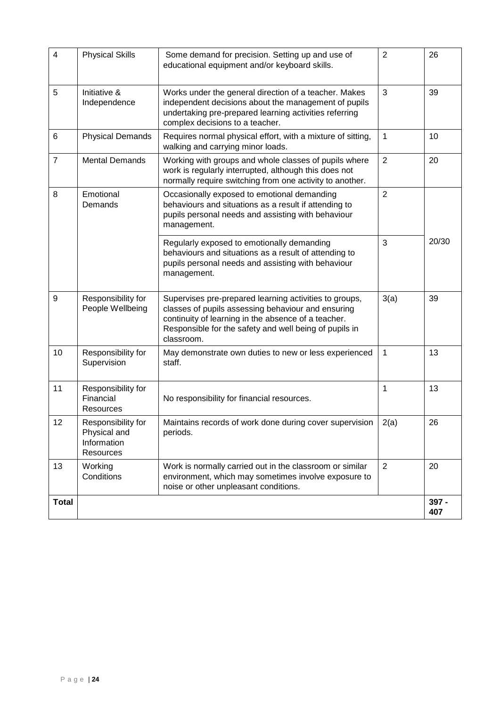| 4              | <b>Physical Skills</b>                                         | Some demand for precision. Setting up and use of<br>educational equipment and/or keyboard skills.                                                                                                                                           | $\overline{2}$ | 26           |
|----------------|----------------------------------------------------------------|---------------------------------------------------------------------------------------------------------------------------------------------------------------------------------------------------------------------------------------------|----------------|--------------|
| 5              | Initiative &<br>Independence                                   | Works under the general direction of a teacher. Makes<br>independent decisions about the management of pupils<br>undertaking pre-prepared learning activities referring<br>complex decisions to a teacher.                                  | 3              | 39           |
| 6              | <b>Physical Demands</b>                                        | Requires normal physical effort, with a mixture of sitting,<br>walking and carrying minor loads.                                                                                                                                            | 1              | 10           |
| $\overline{7}$ | <b>Mental Demands</b>                                          | Working with groups and whole classes of pupils where<br>work is regularly interrupted, although this does not<br>normally require switching from one activity to another.                                                                  | $\overline{2}$ | 20           |
| 8              | Emotional<br>Demands                                           | Occasionally exposed to emotional demanding<br>behaviours and situations as a result if attending to<br>pupils personal needs and assisting with behaviour<br>management.                                                                   | $\overline{2}$ |              |
|                |                                                                | Regularly exposed to emotionally demanding<br>behaviours and situations as a result of attending to<br>pupils personal needs and assisting with behaviour<br>management.                                                                    | 3              | 20/30        |
| 9              | Responsibility for<br>People Wellbeing                         | Supervises pre-prepared learning activities to groups,<br>classes of pupils assessing behaviour and ensuring<br>continuity of learning in the absence of a teacher.<br>Responsible for the safety and well being of pupils in<br>classroom. | 3(a)           | 39           |
| 10             | Responsibility for<br>Supervision                              | May demonstrate own duties to new or less experienced<br>staff.                                                                                                                                                                             | 1              | 13           |
| 11             | Responsibility for<br>Financial<br>Resources                   | No responsibility for financial resources.                                                                                                                                                                                                  | 1              | 13           |
| 12             | Responsibility for<br>Physical and<br>Information<br>Resources | Maintains records of work done during cover supervision<br>periods.                                                                                                                                                                         | 2(a)           | 26           |
| 13             | Working<br>Conditions                                          | Work is normally carried out in the classroom or similar<br>environment, which may sometimes involve exposure to<br>noise or other unpleasant conditions.                                                                                   | 2              | 20           |
| <b>Total</b>   |                                                                |                                                                                                                                                                                                                                             |                | 397 -<br>407 |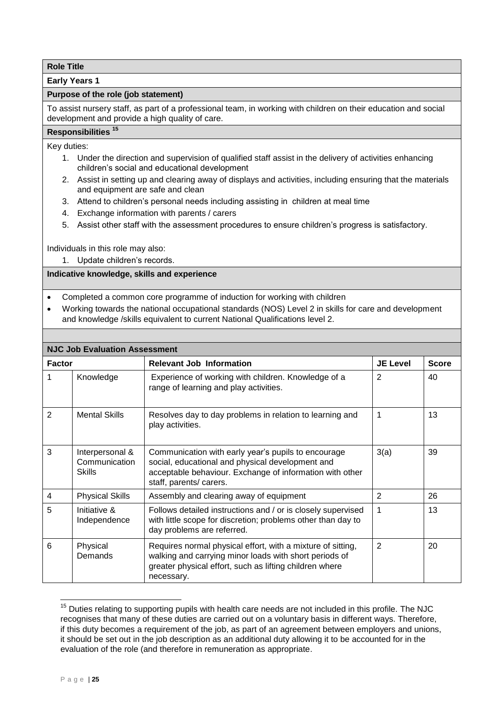<span id="page-26-0"></span>**Early Years 1**

## **Purpose of the role (job statement)**

To assist nursery staff, as part of a professional team, in working with children on their education and social development and provide a high quality of care.

# **Responsibilities <sup>15</sup>**

Key duties:

- 1. Under the direction and supervision of qualified staff assist in the delivery of activities enhancing children's social and educational development
- 2. Assist in setting up and clearing away of displays and activities, including ensuring that the materials and equipment are safe and clean
- 3. Attend to children's personal needs including assisting in children at meal time
- 4. Exchange information with parents / carers
- 5. Assist other staff with the assessment procedures to ensure children's progress is satisfactory.

Individuals in this role may also:

1. Update children's records.

## **Indicative knowledge, skills and experience**

- Completed a common core programme of induction for working with children
- Working towards the national occupational standards (NOS) Level 2 in skills for care and development and knowledge /skills equivalent to current National Qualifications level 2.

| <b>NJC Job Evaluation Assessment</b> |                                                   |                                                                                                                                                                                                |                 |              |  |  |
|--------------------------------------|---------------------------------------------------|------------------------------------------------------------------------------------------------------------------------------------------------------------------------------------------------|-----------------|--------------|--|--|
| <b>Factor</b>                        |                                                   | <b>Relevant Job Information</b>                                                                                                                                                                | <b>JE Level</b> | <b>Score</b> |  |  |
| 1                                    | Knowledge                                         | Experience of working with children. Knowledge of a<br>range of learning and play activities.                                                                                                  | 2               | 40           |  |  |
| $\mathbf{2}$                         | <b>Mental Skills</b>                              | Resolves day to day problems in relation to learning and<br>play activities.                                                                                                                   | 1               | 13           |  |  |
| 3                                    | Interpersonal &<br>Communication<br><b>Skills</b> | Communication with early year's pupils to encourage<br>social, educational and physical development and<br>acceptable behaviour. Exchange of information with other<br>staff, parents/ carers. | 3(a)            | 39           |  |  |
| 4                                    | <b>Physical Skills</b>                            | Assembly and clearing away of equipment                                                                                                                                                        | 2               | 26           |  |  |
| 5                                    | Initiative &<br>Independence                      | Follows detailed instructions and / or is closely supervised<br>with little scope for discretion; problems other than day to<br>day problems are referred.                                     | 1               | 13           |  |  |
| 6                                    | Physical<br>Demands                               | Requires normal physical effort, with a mixture of sitting,<br>walking and carrying minor loads with short periods of<br>greater physical effort, such as lifting children where<br>necessary. | $\mathbf{2}$    | 20           |  |  |

 $15$  Duties relating to supporting pupils with health care needs are not included in this profile. The NJC recognises that many of these duties are carried out on a voluntary basis in different ways. Therefore, if this duty becomes a requirement of the job, as part of an agreement between employers and unions, it should be set out in the job description as an additional duty allowing it to be accounted for in the evaluation of the role (and therefore in remuneration as appropriate.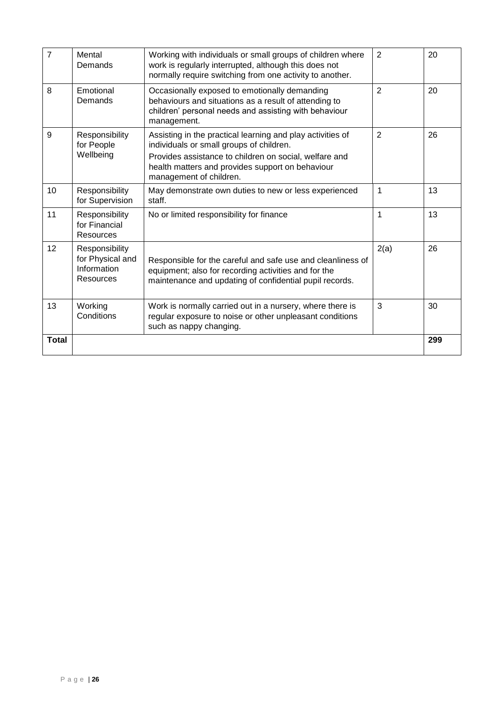| $\overline{7}$ | Mental<br>Demands                                              | Working with individuals or small groups of children where<br>work is regularly interrupted, although this does not<br>normally require switching from one activity to another.                                                                 | $\overline{2}$ | 20  |
|----------------|----------------------------------------------------------------|-------------------------------------------------------------------------------------------------------------------------------------------------------------------------------------------------------------------------------------------------|----------------|-----|
| 8              | Emotional<br>Demands                                           | Occasionally exposed to emotionally demanding<br>behaviours and situations as a result of attending to<br>children' personal needs and assisting with behaviour<br>management.                                                                  | $\overline{2}$ | 20  |
| 9              | Responsibility<br>for People<br>Wellbeing                      | Assisting in the practical learning and play activities of<br>individuals or small groups of children.<br>Provides assistance to children on social, welfare and<br>health matters and provides support on behaviour<br>management of children. | $\overline{2}$ | 26  |
| 10             | Responsibility<br>for Supervision                              | May demonstrate own duties to new or less experienced<br>staff.                                                                                                                                                                                 | $\mathbf 1$    | 13  |
| 11             | Responsibility<br>for Financial<br>Resources                   | No or limited responsibility for finance                                                                                                                                                                                                        | $\mathbf 1$    | 13  |
| 12             | Responsibility<br>for Physical and<br>Information<br>Resources | Responsible for the careful and safe use and cleanliness of<br>equipment; also for recording activities and for the<br>maintenance and updating of confidential pupil records.                                                                  | 2(a)           | 26  |
| 13             | Working<br>Conditions                                          | Work is normally carried out in a nursery, where there is<br>regular exposure to noise or other unpleasant conditions<br>such as nappy changing.                                                                                                | 3              | 30  |
| <b>Total</b>   |                                                                |                                                                                                                                                                                                                                                 |                | 299 |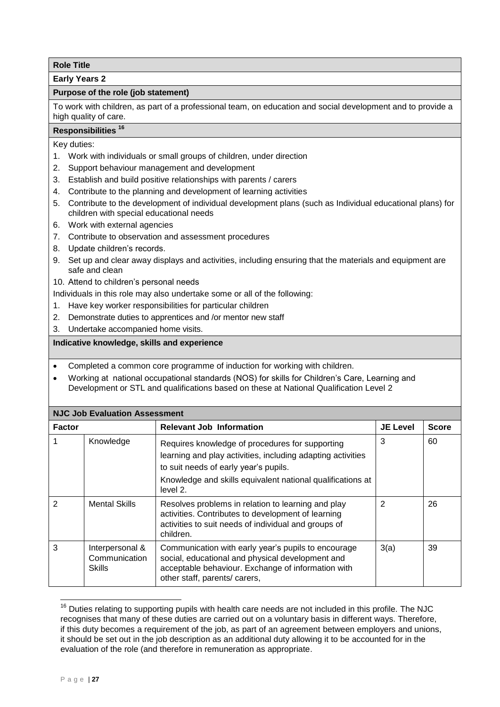<span id="page-28-0"></span>**Early Years 2**

## **Purpose of the role (job statement)**

To work with children, as part of a professional team, on education and social development and to provide a high quality of care.

# **Responsibilities <sup>16</sup>**

Key duties:

- 1. Work with individuals or small groups of children, under direction
- 2. Support behaviour management and development
- 3. Establish and build positive relationships with parents / carers
- 4. Contribute to the planning and development of learning activities
- 5. Contribute to the development of individual development plans (such as Individual educational plans) for children with special educational needs
- 6. Work with external agencies
- 7. Contribute to observation and assessment procedures
- 8. Update children's records.
- 9. Set up and clear away displays and activities, including ensuring that the materials and equipment are safe and clean

10. Attend to children's personal needs

- Individuals in this role may also undertake some or all of the following:
- 1. Have key worker responsibilities for particular children
- 2. Demonstrate duties to apprentices and /or mentor new staff
- 3. Undertake accompanied home visits.

- Completed a common core programme of induction for working with children.
- Working at national occupational standards (NOS) for skills for Children's Care, Learning and Development or STL and qualifications based on these at National Qualification Level 2

| <b>NJC Job Evaluation Assessment</b> |                                                   |                                                                                                                                                                                                |                 |              |  |
|--------------------------------------|---------------------------------------------------|------------------------------------------------------------------------------------------------------------------------------------------------------------------------------------------------|-----------------|--------------|--|
| <b>Factor</b>                        |                                                   | <b>Relevant Job Information</b>                                                                                                                                                                | <b>JE Level</b> | <b>Score</b> |  |
|                                      | Knowledge                                         | Requires knowledge of procedures for supporting<br>learning and play activities, including adapting activities<br>to suit needs of early year's pupils.                                        | 3               | 60           |  |
|                                      |                                                   | Knowledge and skills equivalent national qualifications at<br>level 2.                                                                                                                         |                 |              |  |
| $\mathcal{P}$                        | <b>Mental Skills</b>                              | Resolves problems in relation to learning and play<br>activities. Contributes to development of learning<br>activities to suit needs of individual and groups of<br>children.                  | 2               | 26           |  |
| 3                                    | Interpersonal &<br>Communication<br><b>Skills</b> | Communication with early year's pupils to encourage<br>social, educational and physical development and<br>acceptable behaviour. Exchange of information with<br>other staff, parents/ carers, | 3(a)            | 39           |  |

<sup>1</sup>  $16$  Duties relating to supporting pupils with health care needs are not included in this profile. The NJC recognises that many of these duties are carried out on a voluntary basis in different ways. Therefore, if this duty becomes a requirement of the job, as part of an agreement between employers and unions, it should be set out in the job description as an additional duty allowing it to be accounted for in the evaluation of the role (and therefore in remuneration as appropriate.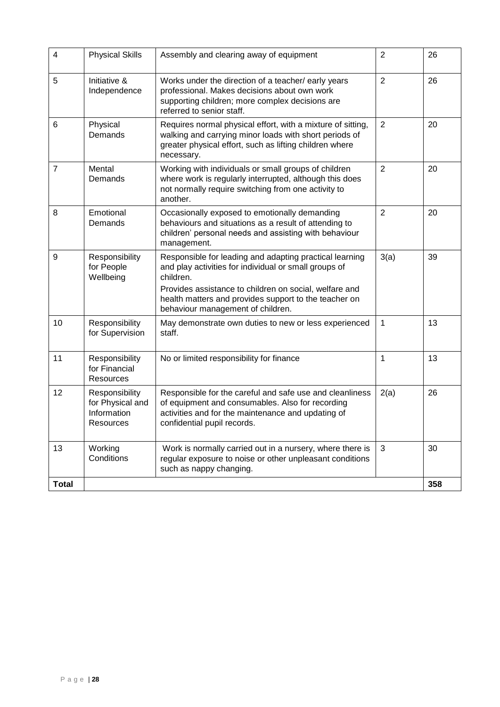| 4              | <b>Physical Skills</b>                                         | Assembly and clearing away of equipment                                                                                                                                                                                                                                               | $\overline{2}$ | 26  |
|----------------|----------------------------------------------------------------|---------------------------------------------------------------------------------------------------------------------------------------------------------------------------------------------------------------------------------------------------------------------------------------|----------------|-----|
| 5              | Initiative &<br>Independence                                   | Works under the direction of a teacher/early years<br>professional. Makes decisions about own work<br>supporting children; more complex decisions are<br>referred to senior staff.                                                                                                    | $\overline{2}$ | 26  |
| 6              | Physical<br>Demands                                            | Requires normal physical effort, with a mixture of sitting,<br>walking and carrying minor loads with short periods of<br>greater physical effort, such as lifting children where<br>necessary.                                                                                        | $\overline{2}$ | 20  |
| $\overline{7}$ | Mental<br>Demands                                              | Working with individuals or small groups of children<br>where work is regularly interrupted, although this does<br>not normally require switching from one activity to<br>another.                                                                                                    | $\overline{2}$ | 20  |
| 8              | Emotional<br>Demands                                           | Occasionally exposed to emotionally demanding<br>behaviours and situations as a result of attending to<br>children' personal needs and assisting with behaviour<br>management.                                                                                                        | $\overline{2}$ | 20  |
| 9              | Responsibility<br>for People<br>Wellbeing                      | Responsible for leading and adapting practical learning<br>and play activities for individual or small groups of<br>children.<br>Provides assistance to children on social, welfare and<br>health matters and provides support to the teacher on<br>behaviour management of children. | 3(a)           | 39  |
| 10             | Responsibility<br>for Supervision                              | May demonstrate own duties to new or less experienced<br>staff.                                                                                                                                                                                                                       | 1              | 13  |
| 11             | Responsibility<br>for Financial<br><b>Resources</b>            | No or limited responsibility for finance                                                                                                                                                                                                                                              | 1              | 13  |
| 12             | Responsibility<br>for Physical and<br>Information<br>Resources | Responsible for the careful and safe use and cleanliness<br>of equipment and consumables. Also for recording<br>activities and for the maintenance and updating of<br>confidential pupil records.                                                                                     | 2(a)           | 26  |
| 13             | Working<br>Conditions                                          | Work is normally carried out in a nursery, where there is<br>regular exposure to noise or other unpleasant conditions<br>such as nappy changing.                                                                                                                                      | 3              | 30  |
| <b>Total</b>   |                                                                |                                                                                                                                                                                                                                                                                       |                | 358 |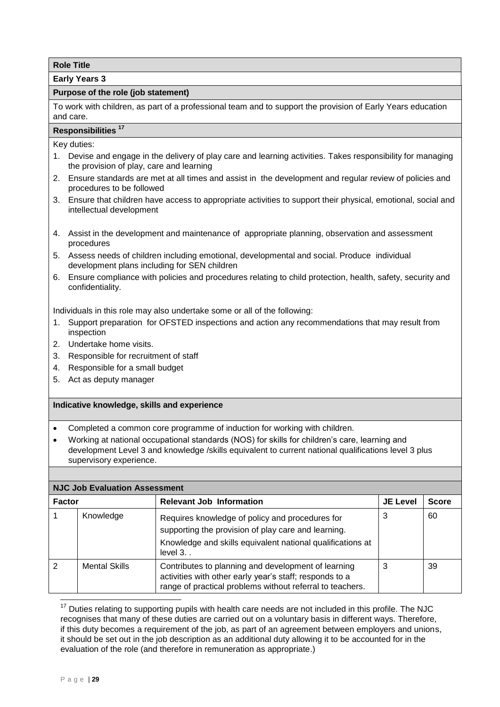<span id="page-30-0"></span>**Early Years 3**

## **Purpose of the role (job statement)**

To work with children, as part of a professional team and to support the provision of Early Years education and care.

# **Responsibilities <sup>17</sup>**

Key duties:

- 1. Devise and engage in the delivery of play care and learning activities. Takes responsibility for managing the provision of play, care and learning
- 2. Ensure standards are met at all times and assist in the development and regular review of policies and procedures to be followed
- 3. Ensure that children have access to appropriate activities to support their physical, emotional, social and intellectual development
- 4. Assist in the development and maintenance of appropriate planning, observation and assessment procedures
- 5. Assess needs of children including emotional, developmental and social. Produce individual development plans including for SEN children
- 6. Ensure compliance with policies and procedures relating to child protection, health, safety, security and confidentiality.

Individuals in this role may also undertake some or all of the following:

- 1. Support preparation for OFSTED inspections and action any recommendations that may result from inspection
- 2. Undertake home visits.
- 3. Responsible for recruitment of staff
- 4. Responsible for a small budget
- 5. Act as deputy manager

## **Indicative knowledge, skills and experience**

- Completed a common core programme of induction for working with children.
- Working at national occupational standards (NOS) for skills for children's care, learning and development Level 3 and knowledge /skills equivalent to current national qualifications level 3 plus supervisory experience.

|               | <b>NJC Job Evaluation Assessment</b> |                                                                                                                                                                                      |                 |              |  |  |
|---------------|--------------------------------------|--------------------------------------------------------------------------------------------------------------------------------------------------------------------------------------|-----------------|--------------|--|--|
| <b>Factor</b> |                                      | <b>Relevant Job Information</b>                                                                                                                                                      | <b>JE Level</b> | <b>Score</b> |  |  |
|               | Knowledge                            | Requires knowledge of policy and procedures for<br>supporting the provision of play care and learning.<br>Knowledge and skills equivalent national qualifications at<br>level $3.$ . | 3               | 60           |  |  |
| $\mathcal{P}$ | <b>Mental Skills</b>                 | Contributes to planning and development of learning<br>activities with other early year's staff; responds to a<br>range of practical problems without referral to teachers.          | 3               | 39           |  |  |

1  $17$  Duties relating to supporting pupils with health care needs are not included in this profile. The NJC recognises that many of these duties are carried out on a voluntary basis in different ways. Therefore, if this duty becomes a requirement of the job, as part of an agreement between employers and unions, it should be set out in the job description as an additional duty allowing it to be accounted for in the evaluation of the role (and therefore in remuneration as appropriate.)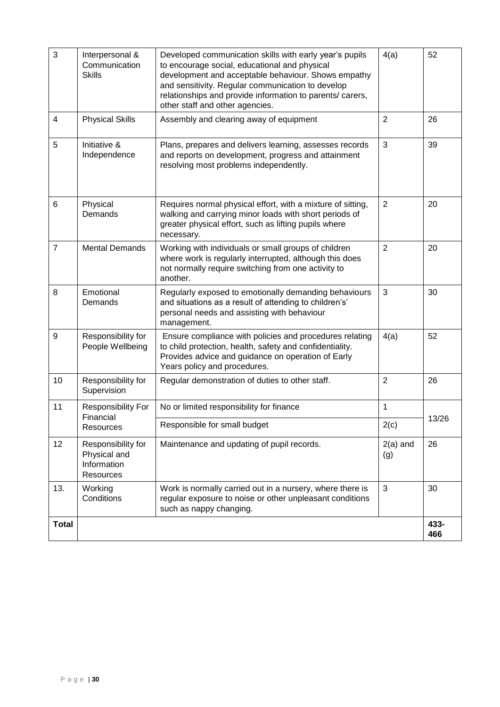| 3                        | Interpersonal &                                                | Developed communication skills with early year's pupils                                                                                                                                                                                                   | 4(a)              | 52          |
|--------------------------|----------------------------------------------------------------|-----------------------------------------------------------------------------------------------------------------------------------------------------------------------------------------------------------------------------------------------------------|-------------------|-------------|
|                          | Communication<br><b>Skills</b>                                 | to encourage social, educational and physical<br>development and acceptable behaviour. Shows empathy<br>and sensitivity. Regular communication to develop<br>relationships and provide information to parents/ carers,<br>other staff and other agencies. |                   |             |
| $\overline{\mathcal{L}}$ | <b>Physical Skills</b>                                         | Assembly and clearing away of equipment                                                                                                                                                                                                                   | $\overline{2}$    | 26          |
| 5                        | Initiative &<br>Independence                                   | Plans, prepares and delivers learning, assesses records<br>and reports on development, progress and attainment<br>resolving most problems independently.                                                                                                  | 3                 | 39          |
| 6                        | Physical<br>Demands                                            | Requires normal physical effort, with a mixture of sitting,<br>walking and carrying minor loads with short periods of<br>greater physical effort, such as lifting pupils where<br>necessary.                                                              | $\overline{2}$    | 20          |
| $\overline{7}$           | <b>Mental Demands</b>                                          | Working with individuals or small groups of children<br>where work is regularly interrupted, although this does<br>not normally require switching from one activity to<br>another.                                                                        | $\overline{2}$    | 20          |
| 8                        | Emotional<br>Demands                                           | Regularly exposed to emotionally demanding behaviours<br>and situations as a result of attending to children's'<br>personal needs and assisting with behaviour<br>management.                                                                             | 3                 | 30          |
| 9                        | Responsibility for<br>People Wellbeing                         | Ensure compliance with policies and procedures relating<br>to child protection, health, safety and confidentiality.<br>Provides advice and guidance on operation of Early<br>Years policy and procedures.                                                 | 4(a)              | 52          |
| 10                       | Responsibility for<br>Supervision                              | Regular demonstration of duties to other staff.                                                                                                                                                                                                           | $\overline{2}$    | 26          |
| 11                       | Responsibility For<br>Financial                                | No or limited responsibility for finance                                                                                                                                                                                                                  | 1                 |             |
|                          | Resources                                                      | Responsible for small budget                                                                                                                                                                                                                              | 2(c)              | 13/26       |
| 12                       | Responsibility for<br>Physical and<br>Information<br>Resources | Maintenance and updating of pupil records.                                                                                                                                                                                                                | $2(a)$ and<br>(g) | 26          |
| 13.                      | Working<br>Conditions                                          | Work is normally carried out in a nursery, where there is<br>regular exposure to noise or other unpleasant conditions<br>such as nappy changing.                                                                                                          | 3                 | 30          |
| <b>Total</b>             |                                                                |                                                                                                                                                                                                                                                           |                   | 433-<br>466 |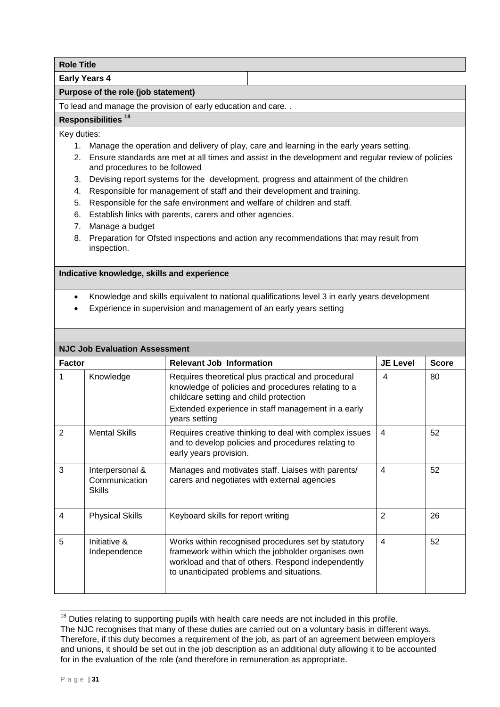| <b>Role Title</b>                                                                                                                      |  |  |  |
|----------------------------------------------------------------------------------------------------------------------------------------|--|--|--|
| <b>Early Years 4</b>                                                                                                                   |  |  |  |
| Purpose of the role (job statement)                                                                                                    |  |  |  |
| To lead and manage the provision of early education and care                                                                           |  |  |  |
| Responsibilities <sup>18</sup>                                                                                                         |  |  |  |
| Key duties:                                                                                                                            |  |  |  |
| Manage the operation and delivery of play, care and learning in the early years setting.<br>1.                                         |  |  |  |
| 2. Ensure standards are met at all times and assist in the development and regular review of policies<br>and procedures to be followed |  |  |  |
| Devising report systems for the development, progress and attainment of the children<br>3.                                             |  |  |  |
| Responsible for management of staff and their development and training.<br>4.                                                          |  |  |  |
| Responsible for the safe environment and welfare of children and staff.<br>5.                                                          |  |  |  |
| Establish links with parents, carers and other agencies.<br>6.                                                                         |  |  |  |
| Manage a budget<br>7.                                                                                                                  |  |  |  |
| Preparation for Ofsted inspections and action any recommendations that may result from<br>8.<br>inspection.                            |  |  |  |
| Indicative knowledge, skills and experience                                                                                            |  |  |  |

- Knowledge and skills equivalent to national qualifications level 3 in early years development
- Experience in supervision and management of an early years setting

| <b>NJC Job Evaluation Assessment</b> |                                            |                                                                                                                                                                                                                           |                          |              |
|--------------------------------------|--------------------------------------------|---------------------------------------------------------------------------------------------------------------------------------------------------------------------------------------------------------------------------|--------------------------|--------------|
| <b>Factor</b>                        |                                            | <b>Relevant Job Information</b>                                                                                                                                                                                           | <b>JE Level</b>          | <b>Score</b> |
|                                      | Knowledge                                  | Requires theoretical plus practical and procedural<br>knowledge of policies and procedures relating to a<br>childcare setting and child protection<br>Extended experience in staff management in a early<br>years setting | 4                        | 80           |
| $\overline{2}$                       | <b>Mental Skills</b>                       | Requires creative thinking to deal with complex issues<br>and to develop policies and procedures relating to<br>early years provision.                                                                                    | 4                        | 52           |
| 3                                    | Interpersonal &<br>Communication<br>Skills | Manages and motivates staff. Liaises with parents/<br>carers and negotiates with external agencies                                                                                                                        | $\overline{\mathcal{A}}$ | 52           |
| 4                                    | <b>Physical Skills</b>                     | Keyboard skills for report writing                                                                                                                                                                                        | $\overline{2}$           | 26           |
| 5                                    | Initiative &<br>Independence               | Works within recognised procedures set by statutory<br>framework within which the jobholder organises own<br>workload and that of others. Respond independently<br>to unanticipated problems and situations.              | 4                        | 52           |

 $18$  Duties relating to supporting pupils with health care needs are not included in this profile. The NJC recognises that many of these duties are carried out on a voluntary basis in different ways. Therefore, if this duty becomes a requirement of the job, as part of an agreement between employers and unions, it should be set out in the job description as an additional duty allowing it to be accounted for in the evaluation of the role (and therefore in remuneration as appropriate.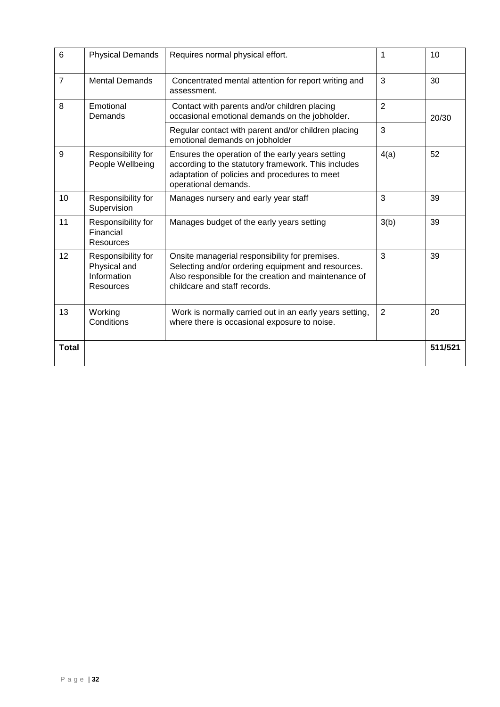| 6              | <b>Physical Demands</b>                                        | Requires normal physical effort.                                                                                                                                                             | 1              | 10      |
|----------------|----------------------------------------------------------------|----------------------------------------------------------------------------------------------------------------------------------------------------------------------------------------------|----------------|---------|
| $\overline{7}$ | <b>Mental Demands</b>                                          | Concentrated mental attention for report writing and<br>assessment.                                                                                                                          | 3              | 30      |
| 8              | Emotional<br>Demands                                           | Contact with parents and/or children placing<br>occasional emotional demands on the jobholder.                                                                                               | $\overline{2}$ | 20/30   |
|                |                                                                | Regular contact with parent and/or children placing<br>emotional demands on jobholder                                                                                                        | 3              |         |
| 9              | Responsibility for<br>People Wellbeing                         | Ensures the operation of the early years setting<br>according to the statutory framework. This includes<br>adaptation of policies and procedures to meet<br>operational demands.             | 4(a)           | 52      |
| 10             | Responsibility for<br>Supervision                              | Manages nursery and early year staff                                                                                                                                                         | 3              | 39      |
| 11             | Responsibility for<br>Financial<br><b>Resources</b>            | Manages budget of the early years setting                                                                                                                                                    | 3(b)           | 39      |
| 12             | Responsibility for<br>Physical and<br>Information<br>Resources | Onsite managerial responsibility for premises.<br>Selecting and/or ordering equipment and resources.<br>Also responsible for the creation and maintenance of<br>childcare and staff records. | 3              | 39      |
| 13             | Working<br>Conditions                                          | Work is normally carried out in an early years setting,<br>where there is occasional exposure to noise.                                                                                      | $\overline{2}$ | 20      |
| <b>Total</b>   |                                                                |                                                                                                                                                                                              |                | 511/521 |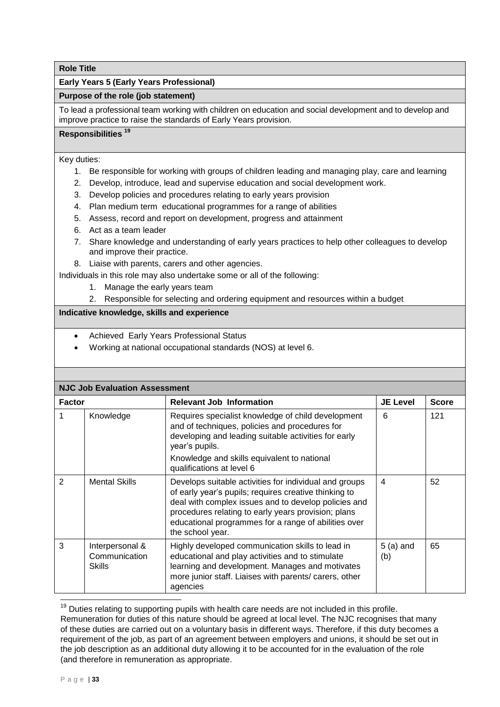## **Early Years 5 (Early Years Professional)**

## **Purpose of the role (job statement)**

To lead a professional team working with children on education and social development and to develop and improve practice to raise the standards of Early Years provision.

# **Responsibilities <sup>19</sup>**

Key duties:

- 1. Be responsible for working with groups of children leading and managing play, care and learning
- 2. Develop, introduce, lead and supervise education and social development work.
- 3. Develop policies and procedures relating to early years provision
- 4. Plan medium term educational programmes for a range of abilities
- 5. Assess, record and report on development, progress and attainment
- 6. Act as a team leader
- 7. Share knowledge and understanding of early years practices to help other colleagues to develop and improve their practice.
- 8. Liaise with parents, carers and other agencies.

Individuals in this role may also undertake some or all of the following:

- 1. Manage the early years team
- 2. Responsible for selecting and ordering equipment and resources within a budget

## **Indicative knowledge, skills and experience**

- Achieved Early Years Professional Status
- Working at national occupational standards (NOS) at level 6.

| <b>NJC Job Evaluation Assessment</b> |                                            |                                                                                                                                                                                                                                                                                                            |                   |              |
|--------------------------------------|--------------------------------------------|------------------------------------------------------------------------------------------------------------------------------------------------------------------------------------------------------------------------------------------------------------------------------------------------------------|-------------------|--------------|
| <b>Factor</b>                        |                                            | <b>Relevant Job Information</b>                                                                                                                                                                                                                                                                            | <b>JE Level</b>   | <b>Score</b> |
|                                      | Knowledge                                  | Requires specialist knowledge of child development<br>and of techniques, policies and procedures for<br>developing and leading suitable activities for early<br>year's pupils.<br>Knowledge and skills equivalent to national<br>qualifications at level 6                                                 | 6                 | 121          |
| 2                                    | <b>Mental Skills</b>                       | Develops suitable activities for individual and groups<br>of early year's pupils; requires creative thinking to<br>deal with complex issues and to develop policies and<br>procedures relating to early years provision; plans<br>educational programmes for a range of abilities over<br>the school year. | 4                 | 52           |
| 3                                    | Interpersonal &<br>Communication<br>Skills | Highly developed communication skills to lead in<br>educational and play activities and to stimulate<br>learning and development. Manages and motivates<br>more junior staff. Liaises with parents/ carers, other<br>agencies                                                                              | $5(a)$ and<br>(b) | 65           |

 $19$  Duties relating to supporting pupils with health care needs are not included in this profile. Remuneration for duties of this nature should be agreed at local level. The NJC recognises that many of these duties are carried out on a voluntary basis in different ways. Therefore, if this duty becomes a requirement of the job, as part of an agreement between employers and unions, it should be set out in the job description as an additional duty allowing it to be accounted for in the evaluation of the role (and therefore in remuneration as appropriate.